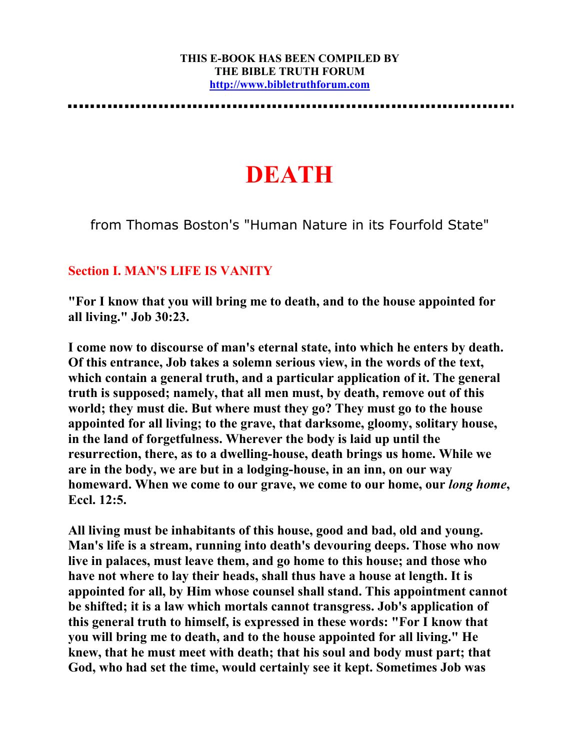# **DEATH**

from Thomas Boston's "Human Nature in its Fourfold State"

## **Section I. MAN'S LIFE IS VANITY**

**"For I know that you will bring me to death, and to the house appointed for all living." Job 30:23.** 

**I come now to discourse of man's eternal state, into which he enters by death. Of this entrance, Job takes a solemn serious view, in the words of the text, which contain a general truth, and a particular application of it. The general truth is supposed; namely, that all men must, by death, remove out of this world; they must die. But where must they go? They must go to the house appointed for all living; to the grave, that darksome, gloomy, solitary house, in the land of forgetfulness. Wherever the body is laid up until the resurrection, there, as to a dwelling-house, death brings us home. While we are in the body, we are but in a lodging-house, in an inn, on our way homeward. When we come to our grave, we come to our home, our** *long home***, Eccl. 12:5.** 

**All living must be inhabitants of this house, good and bad, old and young. Man's life is a stream, running into death's devouring deeps. Those who now live in palaces, must leave them, and go home to this house; and those who have not where to lay their heads, shall thus have a house at length. It is appointed for all, by Him whose counsel shall stand. This appointment cannot be shifted; it is a law which mortals cannot transgress. Job's application of this general truth to himself, is expressed in these words: "For I know that you will bring me to death, and to the house appointed for all living." He knew, that he must meet with death; that his soul and body must part; that God, who had set the time, would certainly see it kept. Sometimes Job was**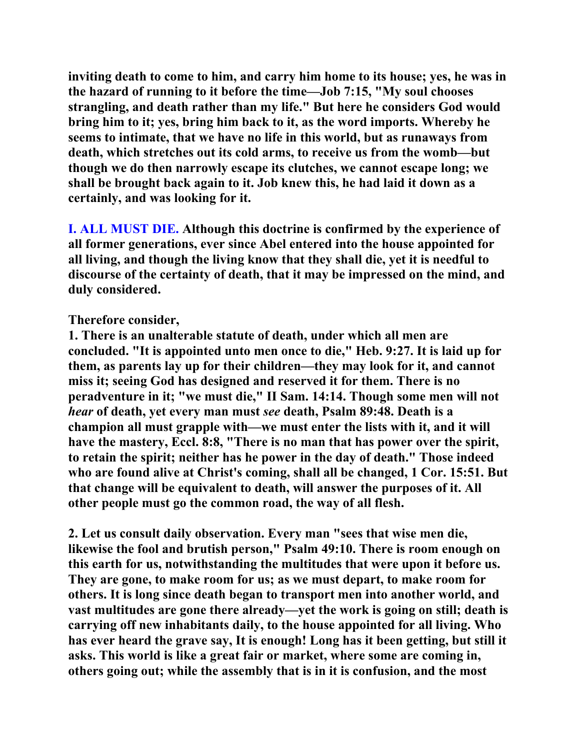**inviting death to come to him, and carry him home to its house; yes, he was in the hazard of running to it before the time—Job 7:15, "My soul chooses strangling, and death rather than my life." But here he considers God would bring him to it; yes, bring him back to it, as the word imports. Whereby he seems to intimate, that we have no life in this world, but as runaways from death, which stretches out its cold arms, to receive us from the womb—but though we do then narrowly escape its clutches, we cannot escape long; we shall be brought back again to it. Job knew this, he had laid it down as a certainly, and was looking for it.** 

**I. ALL MUST DIE. Although this doctrine is confirmed by the experience of all former generations, ever since Abel entered into the house appointed for all living, and though the living know that they shall die, yet it is needful to discourse of the certainty of death, that it may be impressed on the mind, and duly considered.** 

**Therefore consider,** 

**1. There is an unalterable statute of death, under which all men are concluded. "It is appointed unto men once to die," Heb. 9:27. It is laid up for them, as parents lay up for their children—they may look for it, and cannot miss it; seeing God has designed and reserved it for them. There is no peradventure in it; "we must die," II Sam. 14:14. Though some men will not**  *hear* **of death, yet every man must** *see* **death, Psalm 89:48. Death is a champion all must grapple with—we must enter the lists with it, and it will have the mastery, Eccl. 8:8, "There is no man that has power over the spirit, to retain the spirit; neither has he power in the day of death." Those indeed who are found alive at Christ's coming, shall all be changed, 1 Cor. 15:51. But that change will be equivalent to death, will answer the purposes of it. All other people must go the common road, the way of all flesh.** 

**2. Let us consult daily observation. Every man "sees that wise men die, likewise the fool and brutish person," Psalm 49:10. There is room enough on this earth for us, notwithstanding the multitudes that were upon it before us. They are gone, to make room for us; as we must depart, to make room for others. It is long since death began to transport men into another world, and vast multitudes are gone there already—yet the work is going on still; death is carrying off new inhabitants daily, to the house appointed for all living. Who has ever heard the grave say, It is enough! Long has it been getting, but still it asks. This world is like a great fair or market, where some are coming in, others going out; while the assembly that is in it is confusion, and the most**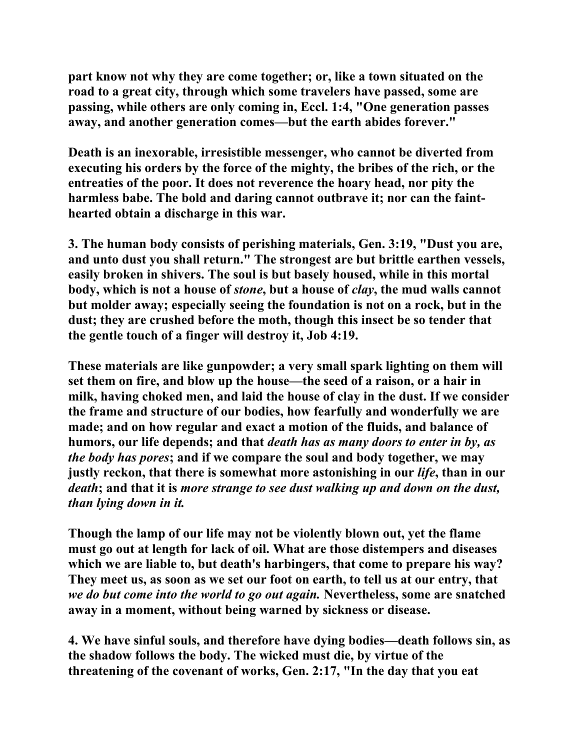**part know not why they are come together; or, like a town situated on the road to a great city, through which some travelers have passed, some are passing, while others are only coming in, Eccl. 1:4, "One generation passes away, and another generation comes—but the earth abides forever."** 

**Death is an inexorable, irresistible messenger, who cannot be diverted from executing his orders by the force of the mighty, the bribes of the rich, or the entreaties of the poor. It does not reverence the hoary head, nor pity the harmless babe. The bold and daring cannot outbrave it; nor can the fainthearted obtain a discharge in this war.** 

**3. The human body consists of perishing materials, Gen. 3:19, "Dust you are, and unto dust you shall return." The strongest are but brittle earthen vessels, easily broken in shivers. The soul is but basely housed, while in this mortal body, which is not a house of** *stone***, but a house of** *clay***, the mud walls cannot but molder away; especially seeing the foundation is not on a rock, but in the dust; they are crushed before the moth, though this insect be so tender that the gentle touch of a finger will destroy it, Job 4:19.** 

**These materials are like gunpowder; a very small spark lighting on them will set them on fire, and blow up the house—the seed of a raison, or a hair in milk, having choked men, and laid the house of clay in the dust. If we consider the frame and structure of our bodies, how fearfully and wonderfully we are made; and on how regular and exact a motion of the fluids, and balance of humors, our life depends; and that** *death has as many doors to enter in by, as the body has pores***; and if we compare the soul and body together, we may justly reckon, that there is somewhat more astonishing in our** *life***, than in our**  *death***; and that it is** *more strange to see dust walking up and down on the dust, than lying down in it.* 

**Though the lamp of our life may not be violently blown out, yet the flame must go out at length for lack of oil. What are those distempers and diseases which we are liable to, but death's harbingers, that come to prepare his way? They meet us, as soon as we set our foot on earth, to tell us at our entry, that** *we do but come into the world to go out again.* **Nevertheless, some are snatched away in a moment, without being warned by sickness or disease.** 

**4. We have sinful souls, and therefore have dying bodies—death follows sin, as the shadow follows the body. The wicked must die, by virtue of the threatening of the covenant of works, Gen. 2:17, "In the day that you eat**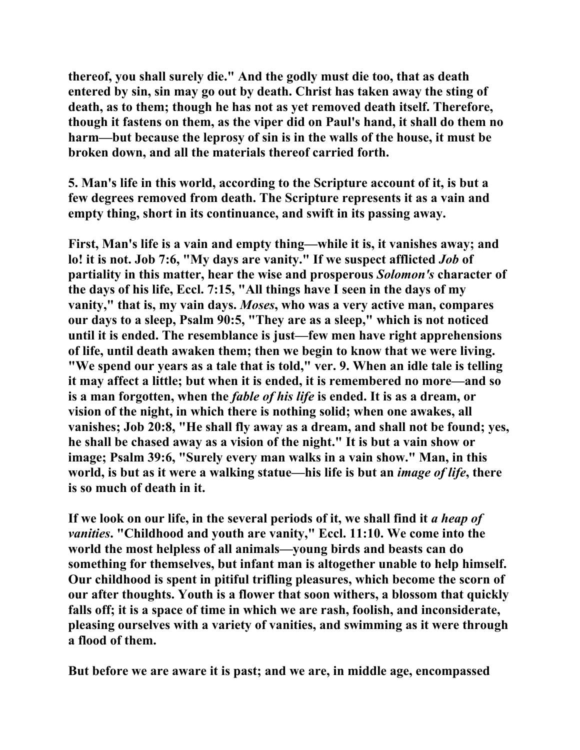**thereof, you shall surely die." And the godly must die too, that as death entered by sin, sin may go out by death. Christ has taken away the sting of death, as to them; though he has not as yet removed death itself. Therefore, though it fastens on them, as the viper did on Paul's hand, it shall do them no harm—but because the leprosy of sin is in the walls of the house, it must be broken down, and all the materials thereof carried forth.** 

**5. Man's life in this world, according to the Scripture account of it, is but a few degrees removed from death. The Scripture represents it as a vain and empty thing, short in its continuance, and swift in its passing away.** 

**First, Man's life is a vain and empty thing—while it is, it vanishes away; and lo! it is not. Job 7:6, "My days are vanity." If we suspect afflicted** *Job* **of partiality in this matter, hear the wise and prosperous** *Solomon's* **character of the days of his life, Eccl. 7:15, "All things have I seen in the days of my vanity," that is, my vain days.** *Moses***, who was a very active man, compares our days to a sleep, Psalm 90:5, "They are as a sleep," which is not noticed until it is ended. The resemblance is just—few men have right apprehensions of life, until death awaken them; then we begin to know that we were living. "We spend our years as a tale that is told," ver. 9. When an idle tale is telling it may affect a little; but when it is ended, it is remembered no more—and so is a man forgotten, when the** *fable of his life* **is ended. It is as a dream, or vision of the night, in which there is nothing solid; when one awakes, all vanishes; Job 20:8, "He shall fly away as a dream, and shall not be found; yes, he shall be chased away as a vision of the night." It is but a vain show or image; Psalm 39:6, "Surely every man walks in a vain show." Man, in this world, is but as it were a walking statue—his life is but an** *image of life***, there is so much of death in it.** 

**If we look on our life, in the several periods of it, we shall find it** *a heap of vanities***. "Childhood and youth are vanity," Eccl. 11:10. We come into the world the most helpless of all animals—young birds and beasts can do something for themselves, but infant man is altogether unable to help himself. Our childhood is spent in pitiful trifling pleasures, which become the scorn of our after thoughts. Youth is a flower that soon withers, a blossom that quickly falls off; it is a space of time in which we are rash, foolish, and inconsiderate, pleasing ourselves with a variety of vanities, and swimming as it were through a flood of them.** 

**But before we are aware it is past; and we are, in middle age, encompassed**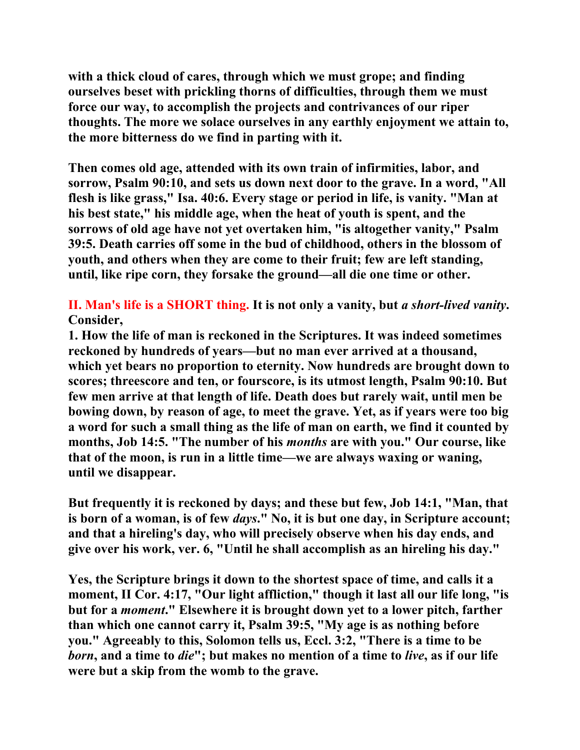**with a thick cloud of cares, through which we must grope; and finding ourselves beset with prickling thorns of difficulties, through them we must force our way, to accomplish the projects and contrivances of our riper thoughts. The more we solace ourselves in any earthly enjoyment we attain to, the more bitterness do we find in parting with it.** 

**Then comes old age, attended with its own train of infirmities, labor, and sorrow, Psalm 90:10, and sets us down next door to the grave. In a word, "All flesh is like grass," Isa. 40:6. Every stage or period in life, is vanity. "Man at his best state," his middle age, when the heat of youth is spent, and the sorrows of old age have not yet overtaken him, "is altogether vanity," Psalm 39:5. Death carries off some in the bud of childhood, others in the blossom of youth, and others when they are come to their fruit; few are left standing, until, like ripe corn, they forsake the ground—all die one time or other.** 

**II. Man's life is a SHORT thing. It is not only a vanity, but** *a short-lived vanity***. Consider,** 

**1. How the life of man is reckoned in the Scriptures. It was indeed sometimes reckoned by hundreds of years—but no man ever arrived at a thousand, which yet bears no proportion to eternity. Now hundreds are brought down to scores; threescore and ten, or fourscore, is its utmost length, Psalm 90:10. But few men arrive at that length of life. Death does but rarely wait, until men be bowing down, by reason of age, to meet the grave. Yet, as if years were too big a word for such a small thing as the life of man on earth, we find it counted by months, Job 14:5. "The number of his** *months* **are with you." Our course, like that of the moon, is run in a little time—we are always waxing or waning, until we disappear.** 

**But frequently it is reckoned by days; and these but few, Job 14:1, "Man, that is born of a woman, is of few** *days***." No, it is but one day, in Scripture account; and that a hireling's day, who will precisely observe when his day ends, and give over his work, ver. 6, "Until he shall accomplish as an hireling his day."** 

**Yes, the Scripture brings it down to the shortest space of time, and calls it a moment, II Cor. 4:17, "Our light affliction," though it last all our life long, "is but for a** *moment***." Elsewhere it is brought down yet to a lower pitch, farther than which one cannot carry it, Psalm 39:5, "My age is as nothing before you." Agreeably to this, Solomon tells us, Eccl. 3:2, "There is a time to be**  *born***, and a time to** *die***"; but makes no mention of a time to** *live***, as if our life were but a skip from the womb to the grave.**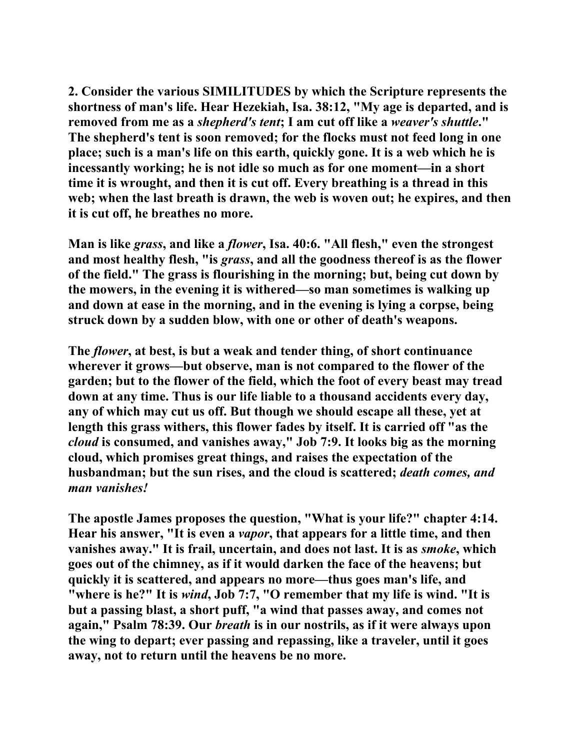**2. Consider the various SIMILITUDES by which the Scripture represents the shortness of man's life. Hear Hezekiah, Isa. 38:12, "My age is departed, and is removed from me as a** *shepherd's tent***; I am cut off like a** *weaver's shuttle***." The shepherd's tent is soon removed; for the flocks must not feed long in one place; such is a man's life on this earth, quickly gone. It is a web which he is incessantly working; he is not idle so much as for one moment—in a short time it is wrought, and then it is cut off. Every breathing is a thread in this web; when the last breath is drawn, the web is woven out; he expires, and then it is cut off, he breathes no more.** 

**Man is like** *grass***, and like a** *flower***, Isa. 40:6. "All flesh," even the strongest and most healthy flesh, "is** *grass***, and all the goodness thereof is as the flower of the field." The grass is flourishing in the morning; but, being cut down by the mowers, in the evening it is withered—so man sometimes is walking up and down at ease in the morning, and in the evening is lying a corpse, being struck down by a sudden blow, with one or other of death's weapons.** 

**The** *flower***, at best, is but a weak and tender thing, of short continuance wherever it grows—but observe, man is not compared to the flower of the garden; but to the flower of the field, which the foot of every beast may tread down at any time. Thus is our life liable to a thousand accidents every day, any of which may cut us off. But though we should escape all these, yet at length this grass withers, this flower fades by itself. It is carried off "as the**  *cloud* **is consumed, and vanishes away," Job 7:9. It looks big as the morning cloud, which promises great things, and raises the expectation of the husbandman; but the sun rises, and the cloud is scattered;** *death comes, and man vanishes!*

**The apostle James proposes the question, "What is your life?" chapter 4:14. Hear his answer, "It is even a** *vapor***, that appears for a little time, and then vanishes away." It is frail, uncertain, and does not last. It is as** *smoke***, which goes out of the chimney, as if it would darken the face of the heavens; but quickly it is scattered, and appears no more—thus goes man's life, and "where is he?" It is** *wind***, Job 7:7, "O remember that my life is wind. "It is but a passing blast, a short puff, "a wind that passes away, and comes not again," Psalm 78:39. Our** *breath* **is in our nostrils, as if it were always upon the wing to depart; ever passing and repassing, like a traveler, until it goes away, not to return until the heavens be no more.**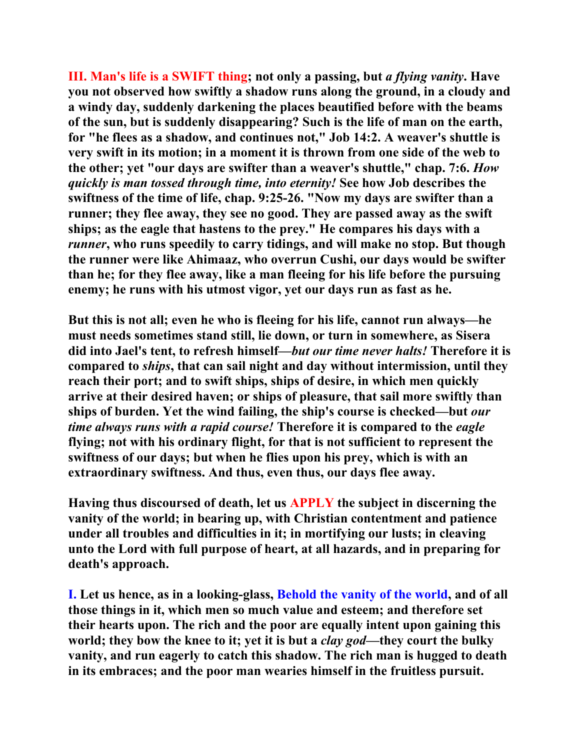**III. Man's life is a SWIFT thing; not only a passing, but** *a flying vanity***. Have you not observed how swiftly a shadow runs along the ground, in a cloudy and a windy day, suddenly darkening the places beautified before with the beams of the sun, but is suddenly disappearing? Such is the life of man on the earth, for "he flees as a shadow, and continues not," Job 14:2. A weaver's shuttle is very swift in its motion; in a moment it is thrown from one side of the web to the other; yet "our days are swifter than a weaver's shuttle," chap. 7:6.** *How quickly is man tossed through time, into eternity!* **See how Job describes the swiftness of the time of life, chap. 9:25-26. "Now my days are swifter than a runner; they flee away, they see no good. They are passed away as the swift ships; as the eagle that hastens to the prey." He compares his days with a**  *runner***, who runs speedily to carry tidings, and will make no stop. But though the runner were like Ahimaaz, who overrun Cushi, our days would be swifter than he; for they flee away, like a man fleeing for his life before the pursuing enemy; he runs with his utmost vigor, yet our days run as fast as he.** 

**But this is not all; even he who is fleeing for his life, cannot run always—he must needs sometimes stand still, lie down, or turn in somewhere, as Sisera did into Jael's tent, to refresh himself—***but our time never halts!* **Therefore it is compared to** *ships***, that can sail night and day without intermission, until they reach their port; and to swift ships, ships of desire, in which men quickly arrive at their desired haven; or ships of pleasure, that sail more swiftly than ships of burden. Yet the wind failing, the ship's course is checked—but** *our time always runs with a rapid course!* **Therefore it is compared to the** *eagle* **flying; not with his ordinary flight, for that is not sufficient to represent the swiftness of our days; but when he flies upon his prey, which is with an extraordinary swiftness. And thus, even thus, our days flee away.** 

**Having thus discoursed of death, let us APPLY the subject in discerning the vanity of the world; in bearing up, with Christian contentment and patience under all troubles and difficulties in it; in mortifying our lusts; in cleaving unto the Lord with full purpose of heart, at all hazards, and in preparing for death's approach.** 

**I. Let us hence, as in a looking-glass, Behold the vanity of the world, and of all those things in it, which men so much value and esteem; and therefore set their hearts upon. The rich and the poor are equally intent upon gaining this world; they bow the knee to it; yet it is but a** *clay god***—they court the bulky vanity, and run eagerly to catch this shadow. The rich man is hugged to death in its embraces; and the poor man wearies himself in the fruitless pursuit.**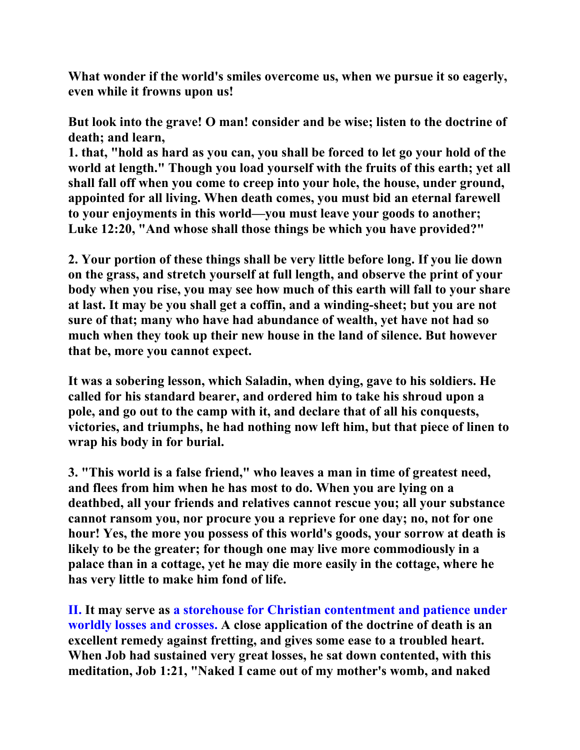**What wonder if the world's smiles overcome us, when we pursue it so eagerly, even while it frowns upon us!** 

**But look into the grave! O man! consider and be wise; listen to the doctrine of death; and learn,** 

**1. that, "hold as hard as you can, you shall be forced to let go your hold of the world at length." Though you load yourself with the fruits of this earth; yet all shall fall off when you come to creep into your hole, the house, under ground, appointed for all living. When death comes, you must bid an eternal farewell to your enjoyments in this world—you must leave your goods to another; Luke 12:20, "And whose shall those things be which you have provided?"** 

**2. Your portion of these things shall be very little before long. If you lie down on the grass, and stretch yourself at full length, and observe the print of your body when you rise, you may see how much of this earth will fall to your share at last. It may be you shall get a coffin, and a winding-sheet; but you are not sure of that; many who have had abundance of wealth, yet have not had so much when they took up their new house in the land of silence. But however that be, more you cannot expect.** 

**It was a sobering lesson, which Saladin, when dying, gave to his soldiers. He called for his standard bearer, and ordered him to take his shroud upon a pole, and go out to the camp with it, and declare that of all his conquests, victories, and triumphs, he had nothing now left him, but that piece of linen to wrap his body in for burial.** 

**3. "This world is a false friend," who leaves a man in time of greatest need, and flees from him when he has most to do. When you are lying on a deathbed, all your friends and relatives cannot rescue you; all your substance cannot ransom you, nor procure you a reprieve for one day; no, not for one hour! Yes, the more you possess of this world's goods, your sorrow at death is likely to be the greater; for though one may live more commodiously in a palace than in a cottage, yet he may die more easily in the cottage, where he has very little to make him fond of life.** 

**II. It may serve as a storehouse for Christian contentment and patience under worldly losses and crosses. A close application of the doctrine of death is an excellent remedy against fretting, and gives some ease to a troubled heart. When Job had sustained very great losses, he sat down contented, with this meditation, Job 1:21, "Naked I came out of my mother's womb, and naked**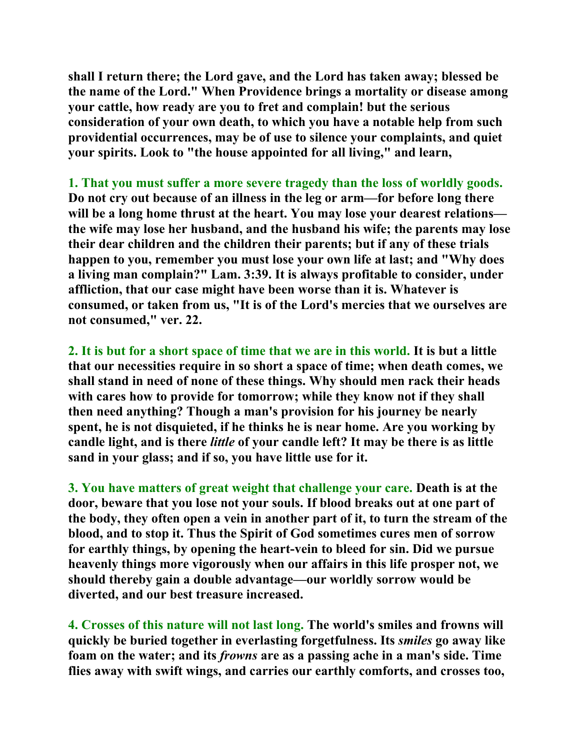**shall I return there; the Lord gave, and the Lord has taken away; blessed be the name of the Lord." When Providence brings a mortality or disease among your cattle, how ready are you to fret and complain! but the serious consideration of your own death, to which you have a notable help from such providential occurrences, may be of use to silence your complaints, and quiet your spirits. Look to "the house appointed for all living," and learn,** 

**1. That you must suffer a more severe tragedy than the loss of worldly goods. Do not cry out because of an illness in the leg or arm—for before long there will be a long home thrust at the heart. You may lose your dearest relations the wife may lose her husband, and the husband his wife; the parents may lose their dear children and the children their parents; but if any of these trials happen to you, remember you must lose your own life at last; and "Why does a living man complain?" Lam. 3:39. It is always profitable to consider, under affliction, that our case might have been worse than it is. Whatever is consumed, or taken from us, "It is of the Lord's mercies that we ourselves are not consumed," ver. 22.** 

**2. It is but for a short space of time that we are in this world. It is but a little that our necessities require in so short a space of time; when death comes, we shall stand in need of none of these things. Why should men rack their heads with cares how to provide for tomorrow; while they know not if they shall then need anything? Though a man's provision for his journey be nearly spent, he is not disquieted, if he thinks he is near home. Are you working by candle light, and is there** *little* **of your candle left? It may be there is as little sand in your glass; and if so, you have little use for it.** 

**3. You have matters of great weight that challenge your care. Death is at the door, beware that you lose not your souls. If blood breaks out at one part of the body, they often open a vein in another part of it, to turn the stream of the blood, and to stop it. Thus the Spirit of God sometimes cures men of sorrow for earthly things, by opening the heart-vein to bleed for sin. Did we pursue heavenly things more vigorously when our affairs in this life prosper not, we should thereby gain a double advantage—our worldly sorrow would be diverted, and our best treasure increased.** 

**4. Crosses of this nature will not last long. The world's smiles and frowns will quickly be buried together in everlasting forgetfulness. Its** *smiles* **go away like foam on the water; and its** *frowns* **are as a passing ache in a man's side. Time flies away with swift wings, and carries our earthly comforts, and crosses too,**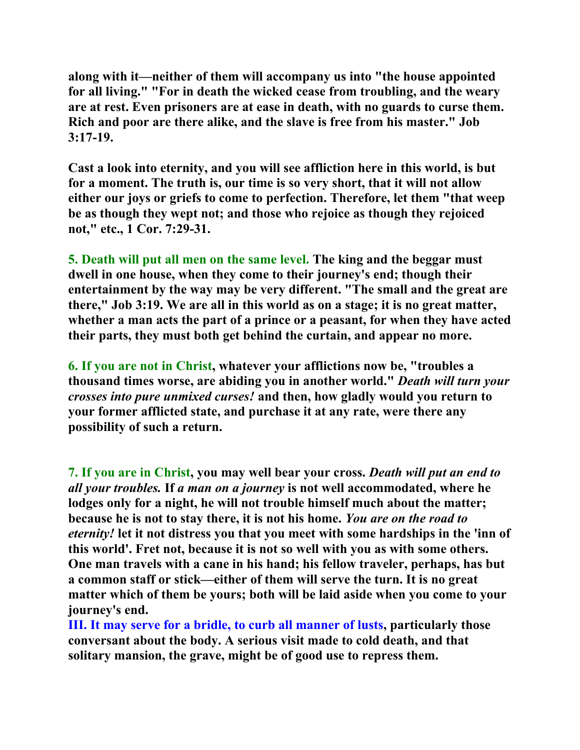**along with it—neither of them will accompany us into "the house appointed for all living." "For in death the wicked cease from troubling, and the weary are at rest. Even prisoners are at ease in death, with no guards to curse them. Rich and poor are there alike, and the slave is free from his master." Job 3:17-19.** 

**Cast a look into eternity, and you will see affliction here in this world, is but for a moment. The truth is, our time is so very short, that it will not allow either our joys or griefs to come to perfection. Therefore, let them "that weep be as though they wept not; and those who rejoice as though they rejoiced not," etc., 1 Cor. 7:29-31.** 

**5. Death will put all men on the same level. The king and the beggar must dwell in one house, when they come to their journey's end; though their entertainment by the way may be very different. "The small and the great are there," Job 3:19. We are all in this world as on a stage; it is no great matter, whether a man acts the part of a prince or a peasant, for when they have acted their parts, they must both get behind the curtain, and appear no more.** 

**6. If you are not in Christ, whatever your afflictions now be, "troubles a thousand times worse, are abiding you in another world."** *Death will turn your crosses into pure unmixed curses!* **and then, how gladly would you return to your former afflicted state, and purchase it at any rate, were there any possibility of such a return.** 

**7. If you are in Christ, you may well bear your cross.** *Death will put an end to all your troubles.* **If** *a man on a journey* **is not well accommodated, where he lodges only for a night, he will not trouble himself much about the matter; because he is not to stay there, it is not his home.** *You are on the road to eternity!* **let it not distress you that you meet with some hardships in the 'inn of this world'. Fret not, because it is not so well with you as with some others. One man travels with a cane in his hand; his fellow traveler, perhaps, has but a common staff or stick—either of them will serve the turn. It is no great matter which of them be yours; both will be laid aside when you come to your journey's end.** 

**III. It may serve for a bridle, to curb all manner of lusts, particularly those conversant about the body. A serious visit made to cold death, and that solitary mansion, the grave, might be of good use to repress them.**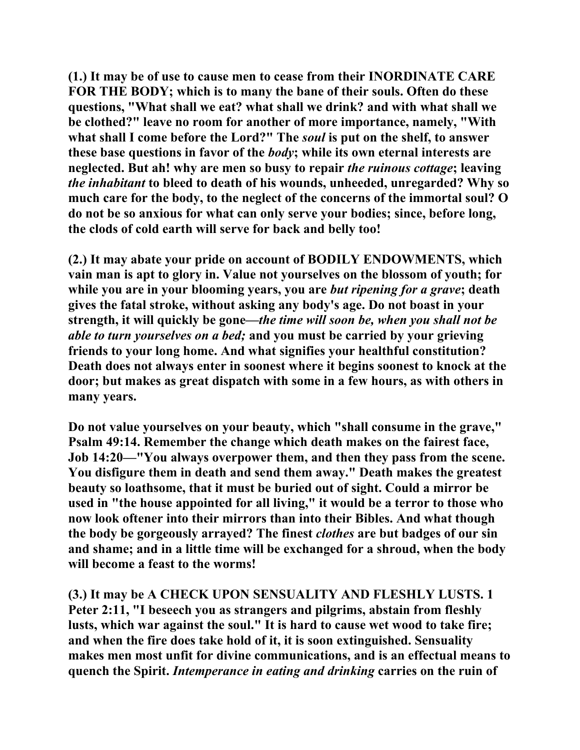**(1.) It may be of use to cause men to cease from their INORDINATE CARE FOR THE BODY; which is to many the bane of their souls. Often do these questions, "What shall we eat? what shall we drink? and with what shall we be clothed?" leave no room for another of more importance, namely, "With what shall I come before the Lord?" The** *soul* **is put on the shelf, to answer these base questions in favor of the** *body***; while its own eternal interests are neglected. But ah! why are men so busy to repair** *the ruinous cottage***; leaving**  *the inhabitant* **to bleed to death of his wounds, unheeded, unregarded? Why so much care for the body, to the neglect of the concerns of the immortal soul? O do not be so anxious for what can only serve your bodies; since, before long, the clods of cold earth will serve for back and belly too!** 

**(2.) It may abate your pride on account of BODILY ENDOWMENTS, which vain man is apt to glory in. Value not yourselves on the blossom of youth; for while you are in your blooming years, you are** *but ripening for a grave***; death gives the fatal stroke, without asking any body's age. Do not boast in your strength, it will quickly be gone—***the time will soon be, when you shall not be able to turn yourselves on a bed;* **and you must be carried by your grieving friends to your long home. And what signifies your healthful constitution? Death does not always enter in soonest where it begins soonest to knock at the door; but makes as great dispatch with some in a few hours, as with others in many years.** 

**Do not value yourselves on your beauty, which "shall consume in the grave," Psalm 49:14. Remember the change which death makes on the fairest face, Job 14:20—"You always overpower them, and then they pass from the scene. You disfigure them in death and send them away." Death makes the greatest beauty so loathsome, that it must be buried out of sight. Could a mirror be used in "the house appointed for all living," it would be a terror to those who now look oftener into their mirrors than into their Bibles. And what though the body be gorgeously arrayed? The finest** *clothes* **are but badges of our sin and shame; and in a little time will be exchanged for a shroud, when the body will become a feast to the worms!** 

**(3.) It may be A CHECK UPON SENSUALITY AND FLESHLY LUSTS. 1 Peter 2:11, "I beseech you as strangers and pilgrims, abstain from fleshly lusts, which war against the soul." It is hard to cause wet wood to take fire; and when the fire does take hold of it, it is soon extinguished. Sensuality makes men most unfit for divine communications, and is an effectual means to quench the Spirit.** *Intemperance in eating and drinking* **carries on the ruin of**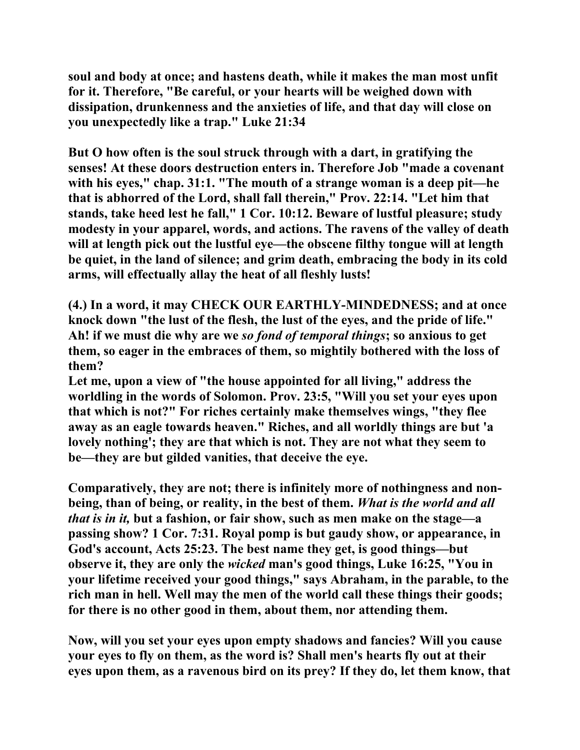**soul and body at once; and hastens death, while it makes the man most unfit for it. Therefore, "Be careful, or your hearts will be weighed down with dissipation, drunkenness and the anxieties of life, and that day will close on you unexpectedly like a trap." Luke 21:34** 

**But O how often is the soul struck through with a dart, in gratifying the senses! At these doors destruction enters in. Therefore Job "made a covenant with his eyes," chap. 31:1. "The mouth of a strange woman is a deep pit—he that is abhorred of the Lord, shall fall therein," Prov. 22:14. "Let him that stands, take heed lest he fall," 1 Cor. 10:12. Beware of lustful pleasure; study modesty in your apparel, words, and actions. The ravens of the valley of death will at length pick out the lustful eye—the obscene filthy tongue will at length be quiet, in the land of silence; and grim death, embracing the body in its cold arms, will effectually allay the heat of all fleshly lusts!** 

**(4.) In a word, it may CHECK OUR EARTHLY-MINDEDNESS; and at once knock down "the lust of the flesh, the lust of the eyes, and the pride of life." Ah! if we must die why are we** *so fond of temporal things***; so anxious to get them, so eager in the embraces of them, so mightily bothered with the loss of them?** 

**Let me, upon a view of "the house appointed for all living," address the worldling in the words of Solomon. Prov. 23:5, "Will you set your eyes upon that which is not?" For riches certainly make themselves wings, "they flee away as an eagle towards heaven." Riches, and all worldly things are but 'a lovely nothing'; they are that which is not. They are not what they seem to be—they are but gilded vanities, that deceive the eye.** 

**Comparatively, they are not; there is infinitely more of nothingness and nonbeing, than of being, or reality, in the best of them.** *What is the world and all that is in it,* **but a fashion, or fair show, such as men make on the stage—a passing show? 1 Cor. 7:31. Royal pomp is but gaudy show, or appearance, in God's account, Acts 25:23. The best name they get, is good things—but observe it, they are only the** *wicked* **man's good things, Luke 16:25, "You in your lifetime received your good things," says Abraham, in the parable, to the rich man in hell. Well may the men of the world call these things their goods; for there is no other good in them, about them, nor attending them.** 

**Now, will you set your eyes upon empty shadows and fancies? Will you cause your eyes to fly on them, as the word is? Shall men's hearts fly out at their eyes upon them, as a ravenous bird on its prey? If they do, let them know, that**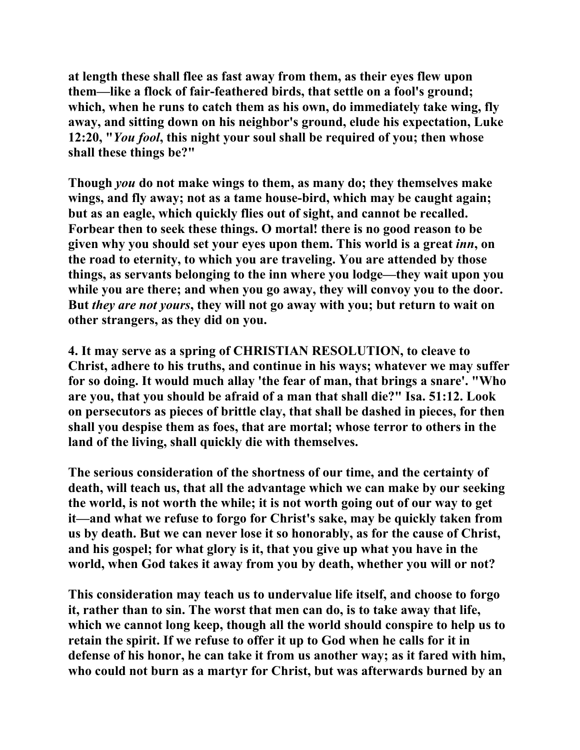**at length these shall flee as fast away from them, as their eyes flew upon them—like a flock of fair-feathered birds, that settle on a fool's ground; which, when he runs to catch them as his own, do immediately take wing, fly away, and sitting down on his neighbor's ground, elude his expectation, Luke 12:20, "***You fool***, this night your soul shall be required of you; then whose shall these things be?"** 

**Though** *you* **do not make wings to them, as many do; they themselves make wings, and fly away; not as a tame house-bird, which may be caught again; but as an eagle, which quickly flies out of sight, and cannot be recalled. Forbear then to seek these things. O mortal! there is no good reason to be given why you should set your eyes upon them. This world is a great** *inn***, on the road to eternity, to which you are traveling. You are attended by those things, as servants belonging to the inn where you lodge—they wait upon you while you are there; and when you go away, they will convoy you to the door. But** *they are not yours***, they will not go away with you; but return to wait on other strangers, as they did on you.** 

**4. It may serve as a spring of CHRISTIAN RESOLUTION, to cleave to Christ, adhere to his truths, and continue in his ways; whatever we may suffer for so doing. It would much allay 'the fear of man, that brings a snare'. "Who are you, that you should be afraid of a man that shall die?" Isa. 51:12. Look on persecutors as pieces of brittle clay, that shall be dashed in pieces, for then shall you despise them as foes, that are mortal; whose terror to others in the land of the living, shall quickly die with themselves.** 

**The serious consideration of the shortness of our time, and the certainty of death, will teach us, that all the advantage which we can make by our seeking the world, is not worth the while; it is not worth going out of our way to get it—and what we refuse to forgo for Christ's sake, may be quickly taken from us by death. But we can never lose it so honorably, as for the cause of Christ, and his gospel; for what glory is it, that you give up what you have in the world, when God takes it away from you by death, whether you will or not?** 

**This consideration may teach us to undervalue life itself, and choose to forgo it, rather than to sin. The worst that men can do, is to take away that life, which we cannot long keep, though all the world should conspire to help us to retain the spirit. If we refuse to offer it up to God when he calls for it in defense of his honor, he can take it from us another way; as it fared with him, who could not burn as a martyr for Christ, but was afterwards burned by an**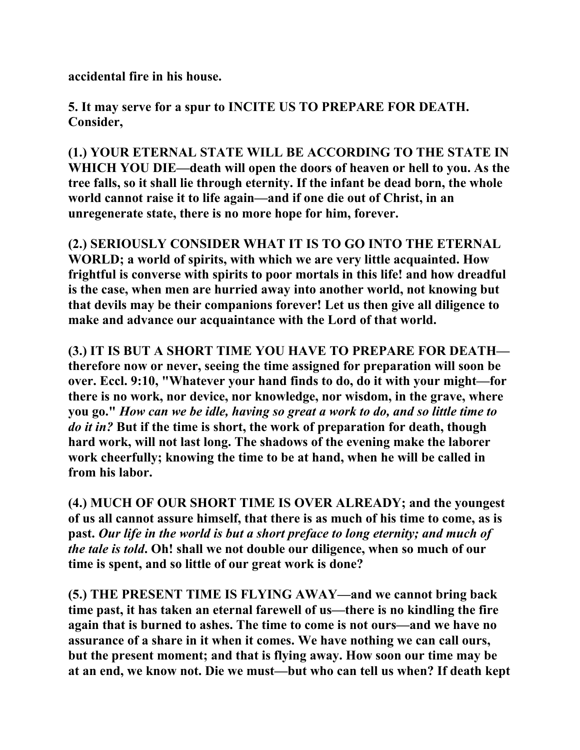**accidental fire in his house.** 

**5. It may serve for a spur to INCITE US TO PREPARE FOR DEATH. Consider,** 

**(1.) YOUR ETERNAL STATE WILL BE ACCORDING TO THE STATE IN WHICH YOU DIE—death will open the doors of heaven or hell to you. As the tree falls, so it shall lie through eternity. If the infant be dead born, the whole world cannot raise it to life again—and if one die out of Christ, in an unregenerate state, there is no more hope for him, forever.** 

**(2.) SERIOUSLY CONSIDER WHAT IT IS TO GO INTO THE ETERNAL WORLD; a world of spirits, with which we are very little acquainted. How frightful is converse with spirits to poor mortals in this life! and how dreadful is the case, when men are hurried away into another world, not knowing but that devils may be their companions forever! Let us then give all diligence to make and advance our acquaintance with the Lord of that world.** 

**(3.) IT IS BUT A SHORT TIME YOU HAVE TO PREPARE FOR DEATH therefore now or never, seeing the time assigned for preparation will soon be over. Eccl. 9:10, "Whatever your hand finds to do, do it with your might—for there is no work, nor device, nor knowledge, nor wisdom, in the grave, where you go."** *How can we be idle, having so great a work to do, and so little time to do it in?* **But if the time is short, the work of preparation for death, though hard work, will not last long. The shadows of the evening make the laborer work cheerfully; knowing the time to be at hand, when he will be called in from his labor.** 

**(4.) MUCH OF OUR SHORT TIME IS OVER ALREADY; and the youngest of us all cannot assure himself, that there is as much of his time to come, as is past.** *Our life in the world is but a short preface to long eternity; and much of the tale is told***. Oh! shall we not double our diligence, when so much of our time is spent, and so little of our great work is done?** 

**(5.) THE PRESENT TIME IS FLYING AWAY—and we cannot bring back time past, it has taken an eternal farewell of us—there is no kindling the fire again that is burned to ashes. The time to come is not ours—and we have no assurance of a share in it when it comes. We have nothing we can call ours, but the present moment; and that is flying away. How soon our time may be at an end, we know not. Die we must—but who can tell us when? If death kept**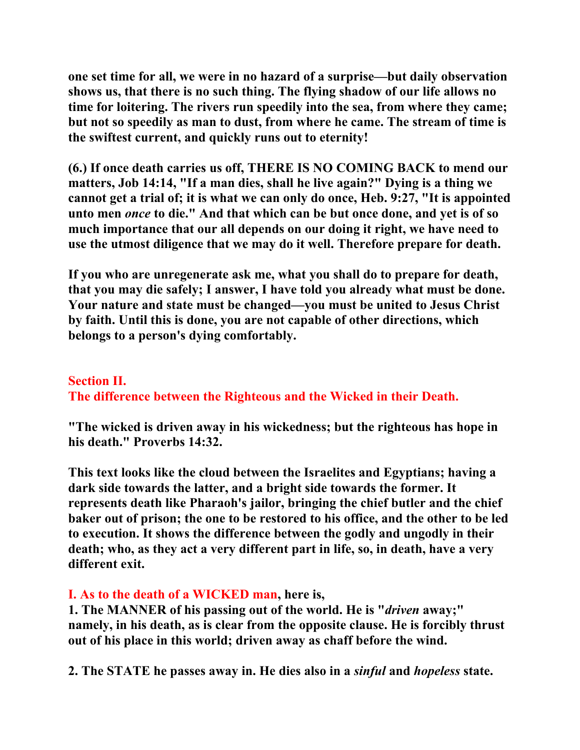**one set time for all, we were in no hazard of a surprise—but daily observation shows us, that there is no such thing. The flying shadow of our life allows no time for loitering. The rivers run speedily into the sea, from where they came; but not so speedily as man to dust, from where he came. The stream of time is the swiftest current, and quickly runs out to eternity!** 

**(6.) If once death carries us off, THERE IS NO COMING BACK to mend our matters, Job 14:14, "If a man dies, shall he live again?" Dying is a thing we cannot get a trial of; it is what we can only do once, Heb. 9:27, "It is appointed unto men** *once* **to die." And that which can be but once done, and yet is of so much importance that our all depends on our doing it right, we have need to use the utmost diligence that we may do it well. Therefore prepare for death.** 

**If you who are unregenerate ask me, what you shall do to prepare for death, that you may die safely; I answer, I have told you already what must be done. Your nature and state must be changed—you must be united to Jesus Christ by faith. Until this is done, you are not capable of other directions, which belongs to a person's dying comfortably.** 

## **Section II. The difference between the Righteous and the Wicked in their Death.**

**"The wicked is driven away in his wickedness; but the righteous has hope in his death." Proverbs 14:32.** 

**This text looks like the cloud between the Israelites and Egyptians; having a dark side towards the latter, and a bright side towards the former. It represents death like Pharaoh's jailor, bringing the chief butler and the chief baker out of prison; the one to be restored to his office, and the other to be led to execution. It shows the difference between the godly and ungodly in their death; who, as they act a very different part in life, so, in death, have a very different exit.** 

#### **I. As to the death of a WICKED man, here is,**

**1. The MANNER of his passing out of the world. He is "***driven* **away;" namely, in his death, as is clear from the opposite clause. He is forcibly thrust out of his place in this world; driven away as chaff before the wind.** 

**2. The STATE he passes away in. He dies also in a** *sinful* **and** *hopeless* **state.**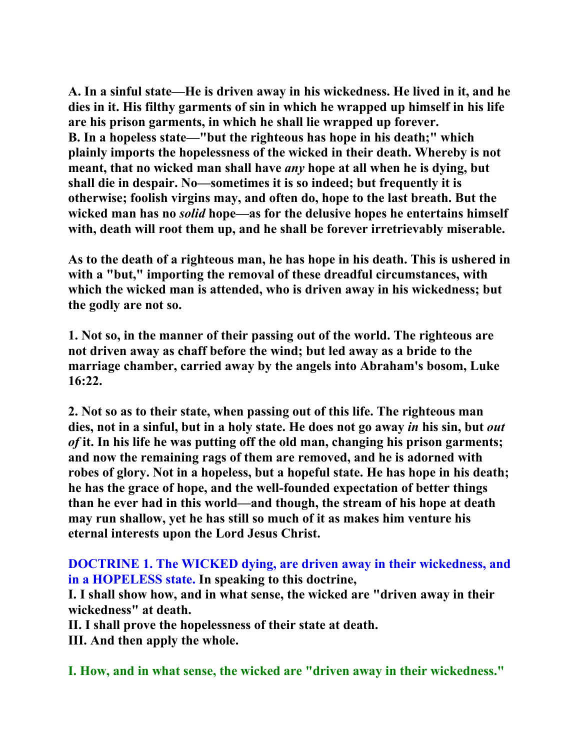**A. In a sinful state—He is driven away in his wickedness. He lived in it, and he dies in it. His filthy garments of sin in which he wrapped up himself in his life are his prison garments, in which he shall lie wrapped up forever. B. In a hopeless state—"but the righteous has hope in his death;" which plainly imports the hopelessness of the wicked in their death. Whereby is not meant, that no wicked man shall have** *any* **hope at all when he is dying, but shall die in despair. No—sometimes it is so indeed; but frequently it is otherwise; foolish virgins may, and often do, hope to the last breath. But the wicked man has no** *solid* **hope—as for the delusive hopes he entertains himself with, death will root them up, and he shall be forever irretrievably miserable.** 

**As to the death of a righteous man, he has hope in his death. This is ushered in with a "but," importing the removal of these dreadful circumstances, with which the wicked man is attended, who is driven away in his wickedness; but the godly are not so.** 

**1. Not so, in the manner of their passing out of the world. The righteous are not driven away as chaff before the wind; but led away as a bride to the marriage chamber, carried away by the angels into Abraham's bosom, Luke 16:22.** 

**2. Not so as to their state, when passing out of this life. The righteous man dies, not in a sinful, but in a holy state. He does not go away** *in* **his sin, but** *out of* **it. In his life he was putting off the old man, changing his prison garments; and now the remaining rags of them are removed, and he is adorned with robes of glory. Not in a hopeless, but a hopeful state. He has hope in his death; he has the grace of hope, and the well-founded expectation of better things than he ever had in this world—and though, the stream of his hope at death may run shallow, yet he has still so much of it as makes him venture his eternal interests upon the Lord Jesus Christ.** 

## **DOCTRINE 1. The WICKED dying, are driven away in their wickedness, and in a HOPELESS state. In speaking to this doctrine,**

**I. I shall show how, and in what sense, the wicked are "driven away in their wickedness" at death.** 

**II. I shall prove the hopelessness of their state at death.** 

**III. And then apply the whole.** 

**I. How, and in what sense, the wicked are "driven away in their wickedness."**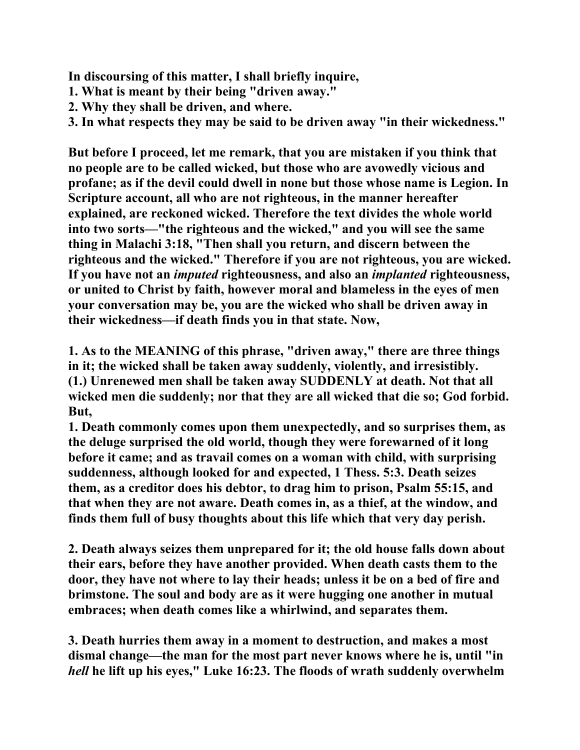**In discoursing of this matter, I shall briefly inquire,** 

- **1. What is meant by their being "driven away."**
- **2. Why they shall be driven, and where.**
- **3. In what respects they may be said to be driven away "in their wickedness."**

**But before I proceed, let me remark, that you are mistaken if you think that no people are to be called wicked, but those who are avowedly vicious and profane; as if the devil could dwell in none but those whose name is Legion. In Scripture account, all who are not righteous, in the manner hereafter explained, are reckoned wicked. Therefore the text divides the whole world into two sorts—"the righteous and the wicked," and you will see the same thing in Malachi 3:18, "Then shall you return, and discern between the righteous and the wicked." Therefore if you are not righteous, you are wicked. If you have not an** *imputed* **righteousness, and also an** *implanted* **righteousness, or united to Christ by faith, however moral and blameless in the eyes of men your conversation may be, you are the wicked who shall be driven away in their wickedness—if death finds you in that state. Now,** 

**1. As to the MEANING of this phrase, "driven away," there are three things in it; the wicked shall be taken away suddenly, violently, and irresistibly. (1.) Unrenewed men shall be taken away SUDDENLY at death. Not that all wicked men die suddenly; nor that they are all wicked that die so; God forbid. But,** 

**1. Death commonly comes upon them unexpectedly, and so surprises them, as the deluge surprised the old world, though they were forewarned of it long before it came; and as travail comes on a woman with child, with surprising suddenness, although looked for and expected, 1 Thess. 5:3. Death seizes them, as a creditor does his debtor, to drag him to prison, Psalm 55:15, and that when they are not aware. Death comes in, as a thief, at the window, and finds them full of busy thoughts about this life which that very day perish.** 

**2. Death always seizes them unprepared for it; the old house falls down about their ears, before they have another provided. When death casts them to the door, they have not where to lay their heads; unless it be on a bed of fire and brimstone. The soul and body are as it were hugging one another in mutual embraces; when death comes like a whirlwind, and separates them.** 

**3. Death hurries them away in a moment to destruction, and makes a most dismal change—the man for the most part never knows where he is, until "in**  *hell* **he lift up his eyes," Luke 16:23. The floods of wrath suddenly overwhelm**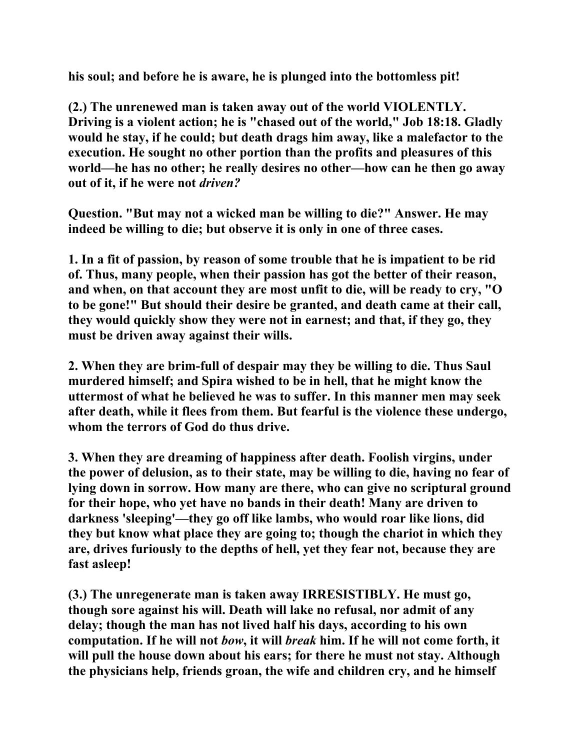**his soul; and before he is aware, he is plunged into the bottomless pit!** 

**(2.) The unrenewed man is taken away out of the world VIOLENTLY. Driving is a violent action; he is "chased out of the world," Job 18:18. Gladly would he stay, if he could; but death drags him away, like a malefactor to the execution. He sought no other portion than the profits and pleasures of this world—he has no other; he really desires no other—how can he then go away out of it, if he were not** *driven?*

**Question. "But may not a wicked man be willing to die?" Answer. He may indeed be willing to die; but observe it is only in one of three cases.** 

**1. In a fit of passion, by reason of some trouble that he is impatient to be rid of. Thus, many people, when their passion has got the better of their reason, and when, on that account they are most unfit to die, will be ready to cry, "O to be gone!" But should their desire be granted, and death came at their call, they would quickly show they were not in earnest; and that, if they go, they must be driven away against their wills.** 

**2. When they are brim-full of despair may they be willing to die. Thus Saul murdered himself; and Spira wished to be in hell, that he might know the uttermost of what he believed he was to suffer. In this manner men may seek after death, while it flees from them. But fearful is the violence these undergo, whom the terrors of God do thus drive.** 

**3. When they are dreaming of happiness after death. Foolish virgins, under the power of delusion, as to their state, may be willing to die, having no fear of lying down in sorrow. How many are there, who can give no scriptural ground for their hope, who yet have no bands in their death! Many are driven to darkness 'sleeping'—they go off like lambs, who would roar like lions, did they but know what place they are going to; though the chariot in which they are, drives furiously to the depths of hell, yet they fear not, because they are fast asleep!** 

**(3.) The unregenerate man is taken away IRRESISTIBLY. He must go, though sore against his will. Death will lake no refusal, nor admit of any delay; though the man has not lived half his days, according to his own computation. If he will not** *bow***, it will** *break* **him. If he will not come forth, it will pull the house down about his ears; for there he must not stay. Although the physicians help, friends groan, the wife and children cry, and he himself**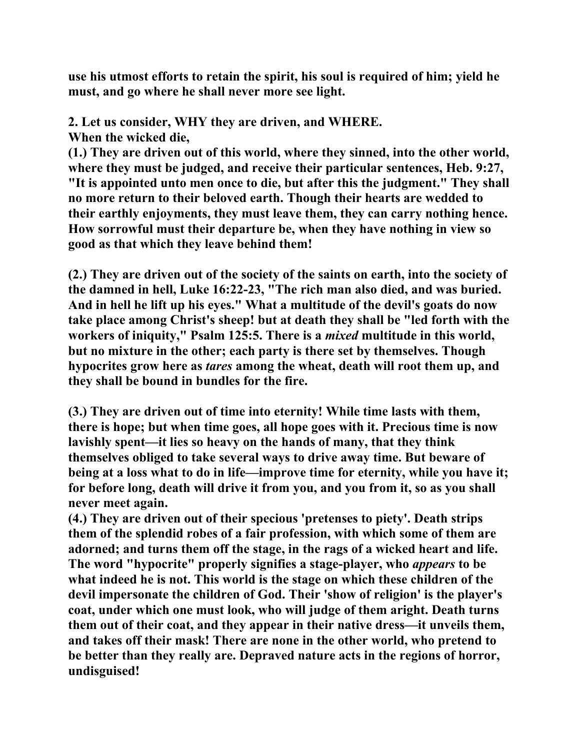**use his utmost efforts to retain the spirit, his soul is required of him; yield he must, and go where he shall never more see light.** 

## **2. Let us consider, WHY they are driven, and WHERE.**

**When the wicked die,** 

**(1.) They are driven out of this world, where they sinned, into the other world, where they must be judged, and receive their particular sentences, Heb. 9:27, "It is appointed unto men once to die, but after this the judgment." They shall no more return to their beloved earth. Though their hearts are wedded to their earthly enjoyments, they must leave them, they can carry nothing hence. How sorrowful must their departure be, when they have nothing in view so good as that which they leave behind them!** 

**(2.) They are driven out of the society of the saints on earth, into the society of the damned in hell, Luke 16:22-23, "The rich man also died, and was buried. And in hell he lift up his eyes." What a multitude of the devil's goats do now take place among Christ's sheep! but at death they shall be "led forth with the workers of iniquity," Psalm 125:5. There is a** *mixed* **multitude in this world, but no mixture in the other; each party is there set by themselves. Though hypocrites grow here as** *tares* **among the wheat, death will root them up, and they shall be bound in bundles for the fire.** 

**(3.) They are driven out of time into eternity! While time lasts with them, there is hope; but when time goes, all hope goes with it. Precious time is now lavishly spent—it lies so heavy on the hands of many, that they think themselves obliged to take several ways to drive away time. But beware of being at a loss what to do in life—improve time for eternity, while you have it; for before long, death will drive it from you, and you from it, so as you shall never meet again.** 

**(4.) They are driven out of their specious 'pretenses to piety'. Death strips them of the splendid robes of a fair profession, with which some of them are adorned; and turns them off the stage, in the rags of a wicked heart and life. The word "hypocrite" properly signifies a stage-player, who** *appears* **to be what indeed he is not. This world is the stage on which these children of the devil impersonate the children of God. Their 'show of religion' is the player's coat, under which one must look, who will judge of them aright. Death turns them out of their coat, and they appear in their native dress—it unveils them, and takes off their mask! There are none in the other world, who pretend to be better than they really are. Depraved nature acts in the regions of horror, undisguised!**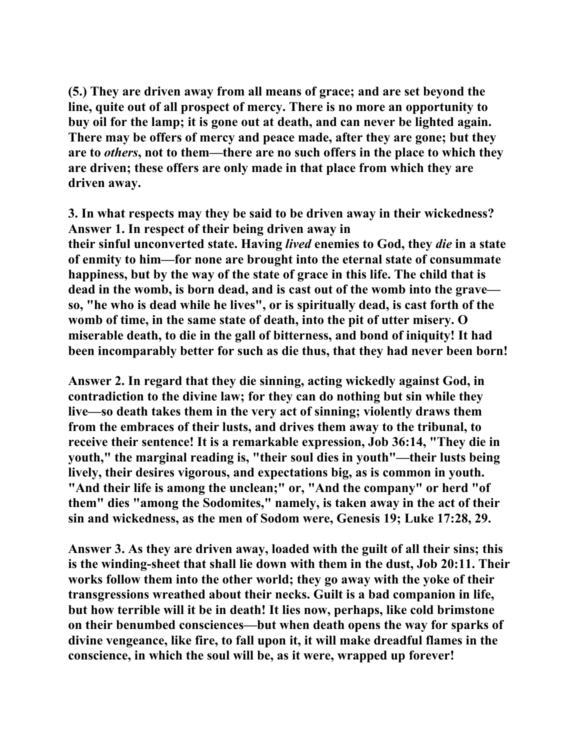**(5.) They are driven away from all means of grace; and are set beyond the line, quite out of all prospect of mercy. There is no more an opportunity to buy oil for the lamp; it is gone out at death, and can never be lighted again. There may be offers of mercy and peace made, after they are gone; but they are to** *others***, not to them—there are no such offers in the place to which they are driven; these offers are only made in that place from which they are driven away.** 

**3. In what respects may they be said to be driven away in their wickedness? Answer 1. In respect of their being driven away in their sinful unconverted state. Having** *lived* **enemies to God, they** *die* **in a state of enmity to him—for none are brought into the eternal state of consummate happiness, but by the way of the state of grace in this life. The child that is dead in the womb, is born dead, and is cast out of the womb into the grave so, "he who is dead while he lives", or is spiritually dead, is cast forth of the womb of time, in the same state of death, into the pit of utter misery. O miserable death, to die in the gall of bitterness, and bond of iniquity! It had been incomparably better for such as die thus, that they had never been born!** 

**Answer 2. In regard that they die sinning, acting wickedly against God, in contradiction to the divine law; for they can do nothing but sin while they live—so death takes them in the very act of sinning; violently draws them from the embraces of their lusts, and drives them away to the tribunal, to receive their sentence! It is a remarkable expression, Job 36:14, "They die in youth," the marginal reading is, "their soul dies in youth"—their lusts being lively, their desires vigorous, and expectations big, as is common in youth. "And their life is among the unclean;" or, "And the company" or herd "of them" dies "among the Sodomites," namely, is taken away in the act of their sin and wickedness, as the men of Sodom were, Genesis 19; Luke 17:28, 29.** 

**Answer 3. As they are driven away, loaded with the guilt of all their sins; this is the winding-sheet that shall lie down with them in the dust, Job 20:11. Their works follow them into the other world; they go away with the yoke of their transgressions wreathed about their necks. Guilt is a bad companion in life, but how terrible will it be in death! It lies now, perhaps, like cold brimstone on their benumbed consciences—but when death opens the way for sparks of divine vengeance, like fire, to fall upon it, it will make dreadful flames in the conscience, in which the soul will be, as it were, wrapped up forever!**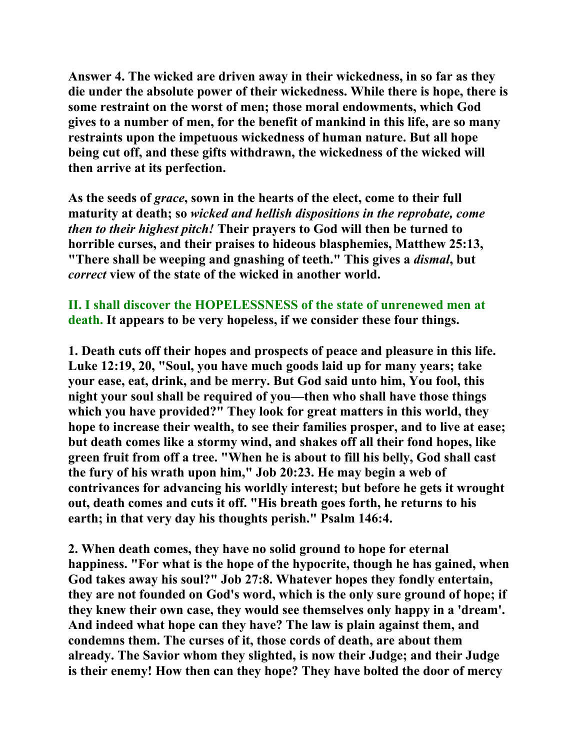**Answer 4. The wicked are driven away in their wickedness, in so far as they die under the absolute power of their wickedness. While there is hope, there is some restraint on the worst of men; those moral endowments, which God gives to a number of men, for the benefit of mankind in this life, are so many restraints upon the impetuous wickedness of human nature. But all hope being cut off, and these gifts withdrawn, the wickedness of the wicked will then arrive at its perfection.** 

**As the seeds of** *grace***, sown in the hearts of the elect, come to their full maturity at death; so** *wicked and hellish dispositions in the reprobate, come then to their highest pitch!* **Their prayers to God will then be turned to horrible curses, and their praises to hideous blasphemies, Matthew 25:13, "There shall be weeping and gnashing of teeth." This gives a** *dismal***, but**  *correct* **view of the state of the wicked in another world.** 

**II. I shall discover the HOPELESSNESS of the state of unrenewed men at death. It appears to be very hopeless, if we consider these four things.** 

**1. Death cuts off their hopes and prospects of peace and pleasure in this life. Luke 12:19, 20, "Soul, you have much goods laid up for many years; take your ease, eat, drink, and be merry. But God said unto him, You fool, this night your soul shall be required of you—then who shall have those things which you have provided?" They look for great matters in this world, they hope to increase their wealth, to see their families prosper, and to live at ease; but death comes like a stormy wind, and shakes off all their fond hopes, like green fruit from off a tree. "When he is about to fill his belly, God shall cast the fury of his wrath upon him," Job 20:23. He may begin a web of contrivances for advancing his worldly interest; but before he gets it wrought out, death comes and cuts it off. "His breath goes forth, he returns to his earth; in that very day his thoughts perish." Psalm 146:4.** 

**2. When death comes, they have no solid ground to hope for eternal happiness. "For what is the hope of the hypocrite, though he has gained, when God takes away his soul?" Job 27:8. Whatever hopes they fondly entertain, they are not founded on God's word, which is the only sure ground of hope; if they knew their own case, they would see themselves only happy in a 'dream'. And indeed what hope can they have? The law is plain against them, and condemns them. The curses of it, those cords of death, are about them already. The Savior whom they slighted, is now their Judge; and their Judge is their enemy! How then can they hope? They have bolted the door of mercy**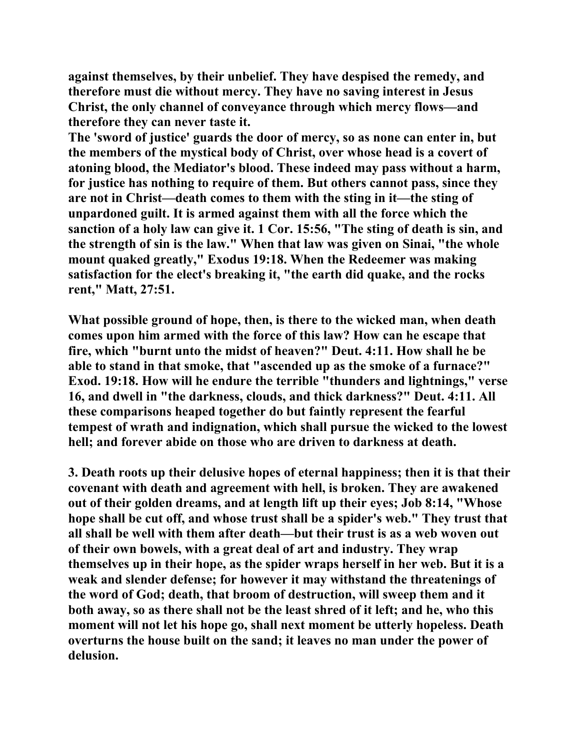**against themselves, by their unbelief. They have despised the remedy, and therefore must die without mercy. They have no saving interest in Jesus Christ, the only channel of conveyance through which mercy flows—and therefore they can never taste it.** 

**The 'sword of justice' guards the door of mercy, so as none can enter in, but the members of the mystical body of Christ, over whose head is a covert of atoning blood, the Mediator's blood. These indeed may pass without a harm, for justice has nothing to require of them. But others cannot pass, since they are not in Christ—death comes to them with the sting in it—the sting of unpardoned guilt. It is armed against them with all the force which the sanction of a holy law can give it. 1 Cor. 15:56, "The sting of death is sin, and the strength of sin is the law." When that law was given on Sinai, "the whole mount quaked greatly," Exodus 19:18. When the Redeemer was making satisfaction for the elect's breaking it, "the earth did quake, and the rocks rent," Matt, 27:51.** 

**What possible ground of hope, then, is there to the wicked man, when death comes upon him armed with the force of this law? How can he escape that fire, which "burnt unto the midst of heaven?" Deut. 4:11. How shall he be able to stand in that smoke, that "ascended up as the smoke of a furnace?" Exod. 19:18. How will he endure the terrible "thunders and lightnings," verse 16, and dwell in "the darkness, clouds, and thick darkness?" Deut. 4:11. All these comparisons heaped together do but faintly represent the fearful tempest of wrath and indignation, which shall pursue the wicked to the lowest hell; and forever abide on those who are driven to darkness at death.** 

**3. Death roots up their delusive hopes of eternal happiness; then it is that their covenant with death and agreement with hell, is broken. They are awakened out of their golden dreams, and at length lift up their eyes; Job 8:14, "Whose hope shall be cut off, and whose trust shall be a spider's web." They trust that all shall be well with them after death—but their trust is as a web woven out of their own bowels, with a great deal of art and industry. They wrap themselves up in their hope, as the spider wraps herself in her web. But it is a weak and slender defense; for however it may withstand the threatenings of the word of God; death, that broom of destruction, will sweep them and it both away, so as there shall not be the least shred of it left; and he, who this moment will not let his hope go, shall next moment be utterly hopeless. Death overturns the house built on the sand; it leaves no man under the power of delusion.**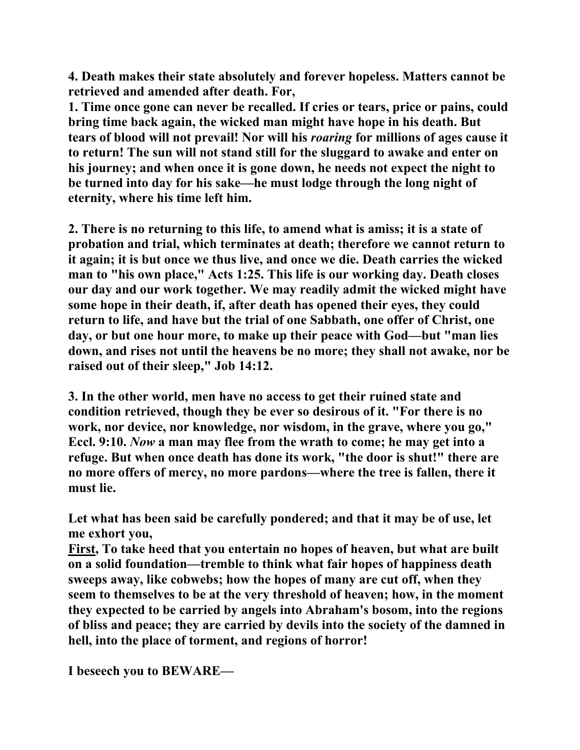**4. Death makes their state absolutely and forever hopeless. Matters cannot be retrieved and amended after death. For,** 

**1. Time once gone can never be recalled. If cries or tears, price or pains, could bring time back again, the wicked man might have hope in his death. But tears of blood will not prevail! Nor will his** *roaring* **for millions of ages cause it to return! The sun will not stand still for the sluggard to awake and enter on his journey; and when once it is gone down, he needs not expect the night to be turned into day for his sake—he must lodge through the long night of eternity, where his time left him.** 

**2. There is no returning to this life, to amend what is amiss; it is a state of probation and trial, which terminates at death; therefore we cannot return to it again; it is but once we thus live, and once we die. Death carries the wicked man to "his own place," Acts 1:25. This life is our working day. Death closes our day and our work together. We may readily admit the wicked might have some hope in their death, if, after death has opened their eyes, they could return to life, and have but the trial of one Sabbath, one offer of Christ, one day, or but one hour more, to make up their peace with God—but "man lies down, and rises not until the heavens be no more; they shall not awake, nor be raised out of their sleep," Job 14:12.** 

**3. In the other world, men have no access to get their ruined state and condition retrieved, though they be ever so desirous of it. "For there is no work, nor device, nor knowledge, nor wisdom, in the grave, where you go," Eccl. 9:10.** *Now* **a man may flee from the wrath to come; he may get into a refuge. But when once death has done its work, "the door is shut!" there are no more offers of mercy, no more pardons—where the tree is fallen, there it must lie.** 

**Let what has been said be carefully pondered; and that it may be of use, let me exhort you,** 

**First, To take heed that you entertain no hopes of heaven, but what are built on a solid foundation—tremble to think what fair hopes of happiness death sweeps away, like cobwebs; how the hopes of many are cut off, when they seem to themselves to be at the very threshold of heaven; how, in the moment they expected to be carried by angels into Abraham's bosom, into the regions of bliss and peace; they are carried by devils into the society of the damned in hell, into the place of torment, and regions of horror!** 

**I beseech you to BEWARE—**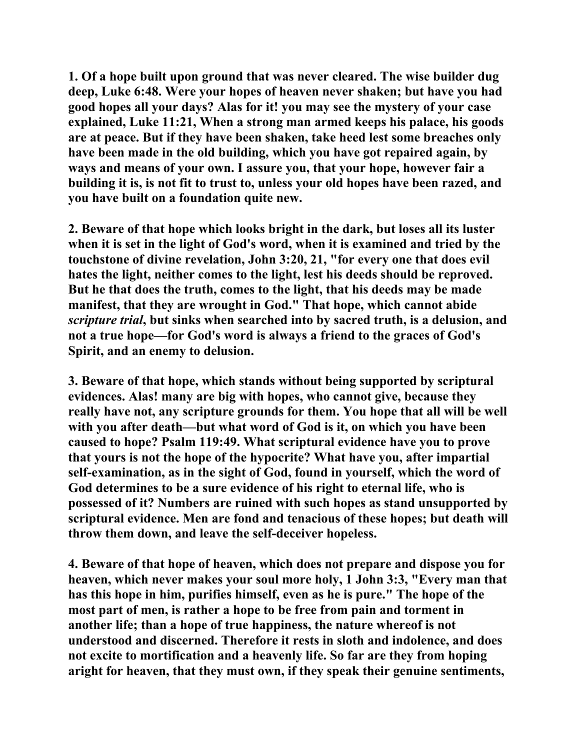**1. Of a hope built upon ground that was never cleared. The wise builder dug deep, Luke 6:48. Were your hopes of heaven never shaken; but have you had good hopes all your days? Alas for it! you may see the mystery of your case explained, Luke 11:21, When a strong man armed keeps his palace, his goods are at peace. But if they have been shaken, take heed lest some breaches only have been made in the old building, which you have got repaired again, by ways and means of your own. I assure you, that your hope, however fair a building it is, is not fit to trust to, unless your old hopes have been razed, and you have built on a foundation quite new.** 

**2. Beware of that hope which looks bright in the dark, but loses all its luster when it is set in the light of God's word, when it is examined and tried by the touchstone of divine revelation, John 3:20, 21, "for every one that does evil hates the light, neither comes to the light, lest his deeds should be reproved. But he that does the truth, comes to the light, that his deeds may be made manifest, that they are wrought in God." That hope, which cannot abide**  *scripture trial***, but sinks when searched into by sacred truth, is a delusion, and not a true hope—for God's word is always a friend to the graces of God's Spirit, and an enemy to delusion.** 

**3. Beware of that hope, which stands without being supported by scriptural evidences. Alas! many are big with hopes, who cannot give, because they really have not, any scripture grounds for them. You hope that all will be well with you after death—but what word of God is it, on which you have been caused to hope? Psalm 119:49. What scriptural evidence have you to prove that yours is not the hope of the hypocrite? What have you, after impartial self-examination, as in the sight of God, found in yourself, which the word of God determines to be a sure evidence of his right to eternal life, who is possessed of it? Numbers are ruined with such hopes as stand unsupported by scriptural evidence. Men are fond and tenacious of these hopes; but death will throw them down, and leave the self-deceiver hopeless.** 

**4. Beware of that hope of heaven, which does not prepare and dispose you for heaven, which never makes your soul more holy, 1 John 3:3, "Every man that has this hope in him, purifies himself, even as he is pure." The hope of the most part of men, is rather a hope to be free from pain and torment in another life; than a hope of true happiness, the nature whereof is not understood and discerned. Therefore it rests in sloth and indolence, and does not excite to mortification and a heavenly life. So far are they from hoping aright for heaven, that they must own, if they speak their genuine sentiments,**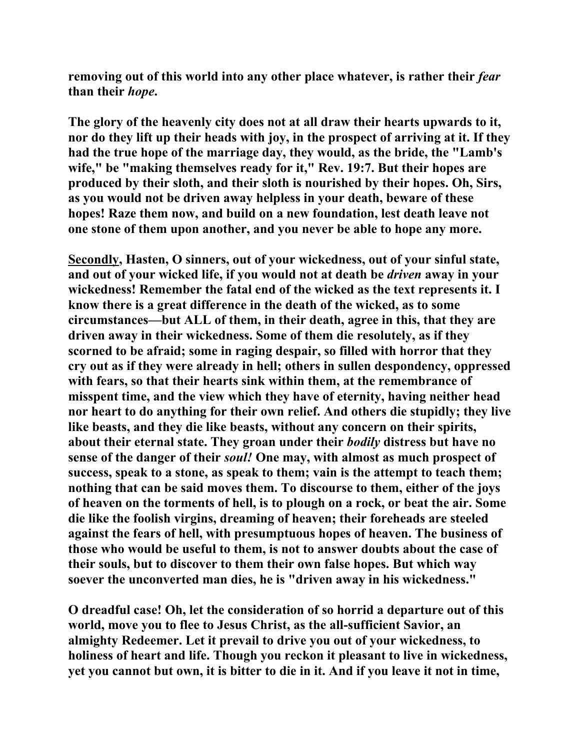**removing out of this world into any other place whatever, is rather their** *fear* **than their** *hope***.** 

**The glory of the heavenly city does not at all draw their hearts upwards to it, nor do they lift up their heads with joy, in the prospect of arriving at it. If they had the true hope of the marriage day, they would, as the bride, the "Lamb's wife," be "making themselves ready for it," Rev. 19:7. But their hopes are produced by their sloth, and their sloth is nourished by their hopes. Oh, Sirs, as you would not be driven away helpless in your death, beware of these hopes! Raze them now, and build on a new foundation, lest death leave not one stone of them upon another, and you never be able to hope any more.** 

**Secondly, Hasten, O sinners, out of your wickedness, out of your sinful state, and out of your wicked life, if you would not at death be** *driven* **away in your wickedness! Remember the fatal end of the wicked as the text represents it. I know there is a great difference in the death of the wicked, as to some circumstances—but ALL of them, in their death, agree in this, that they are driven away in their wickedness. Some of them die resolutely, as if they scorned to be afraid; some in raging despair, so filled with horror that they cry out as if they were already in hell; others in sullen despondency, oppressed with fears, so that their hearts sink within them, at the remembrance of misspent time, and the view which they have of eternity, having neither head nor heart to do anything for their own relief. And others die stupidly; they live like beasts, and they die like beasts, without any concern on their spirits, about their eternal state. They groan under their** *bodily* **distress but have no sense of the danger of their** *soul!* **One may, with almost as much prospect of success, speak to a stone, as speak to them; vain is the attempt to teach them; nothing that can be said moves them. To discourse to them, either of the joys of heaven on the torments of hell, is to plough on a rock, or beat the air. Some die like the foolish virgins, dreaming of heaven; their foreheads are steeled against the fears of hell, with presumptuous hopes of heaven. The business of those who would be useful to them, is not to answer doubts about the case of their souls, but to discover to them their own false hopes. But which way soever the unconverted man dies, he is "driven away in his wickedness."** 

**O dreadful case! Oh, let the consideration of so horrid a departure out of this world, move you to flee to Jesus Christ, as the all-sufficient Savior, an almighty Redeemer. Let it prevail to drive you out of your wickedness, to holiness of heart and life. Though you reckon it pleasant to live in wickedness, yet you cannot but own, it is bitter to die in it. And if you leave it not in time,**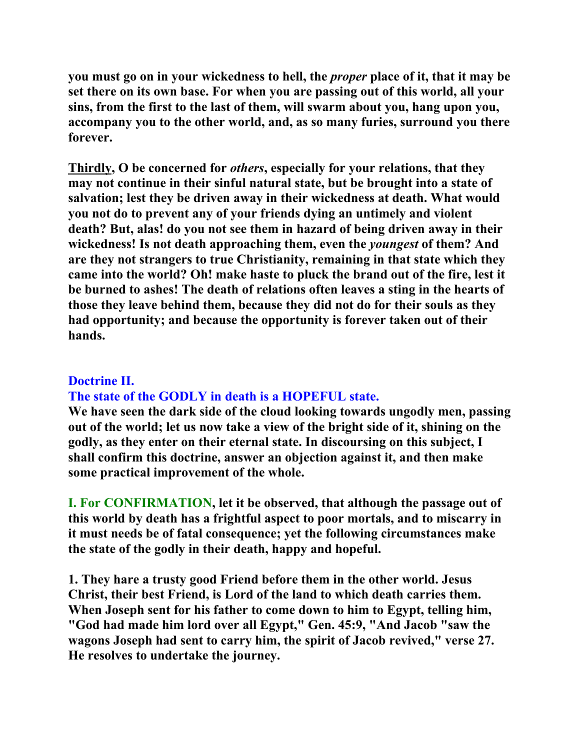**you must go on in your wickedness to hell, the** *proper* **place of it, that it may be set there on its own base. For when you are passing out of this world, all your sins, from the first to the last of them, will swarm about you, hang upon you, accompany you to the other world, and, as so many furies, surround you there forever.** 

**Thirdly, O be concerned for** *others***, especially for your relations, that they may not continue in their sinful natural state, but be brought into a state of salvation; lest they be driven away in their wickedness at death. What would you not do to prevent any of your friends dying an untimely and violent death? But, alas! do you not see them in hazard of being driven away in their wickedness! Is not death approaching them, even the** *youngest* **of them? And are they not strangers to true Christianity, remaining in that state which they came into the world? Oh! make haste to pluck the brand out of the fire, lest it be burned to ashes! The death of relations often leaves a sting in the hearts of those they leave behind them, because they did not do for their souls as they had opportunity; and because the opportunity is forever taken out of their hands.** 

## **Doctrine II.**

## **The state of the GODLY in death is a HOPEFUL state.**

**We have seen the dark side of the cloud looking towards ungodly men, passing out of the world; let us now take a view of the bright side of it, shining on the godly, as they enter on their eternal state. In discoursing on this subject, I shall confirm this doctrine, answer an objection against it, and then make some practical improvement of the whole.** 

**I. For CONFIRMATION, let it be observed, that although the passage out of this world by death has a frightful aspect to poor mortals, and to miscarry in it must needs be of fatal consequence; yet the following circumstances make the state of the godly in their death, happy and hopeful.** 

**1. They hare a trusty good Friend before them in the other world. Jesus Christ, their best Friend, is Lord of the land to which death carries them. When Joseph sent for his father to come down to him to Egypt, telling him, "God had made him lord over all Egypt," Gen. 45:9, "And Jacob "saw the wagons Joseph had sent to carry him, the spirit of Jacob revived," verse 27. He resolves to undertake the journey.**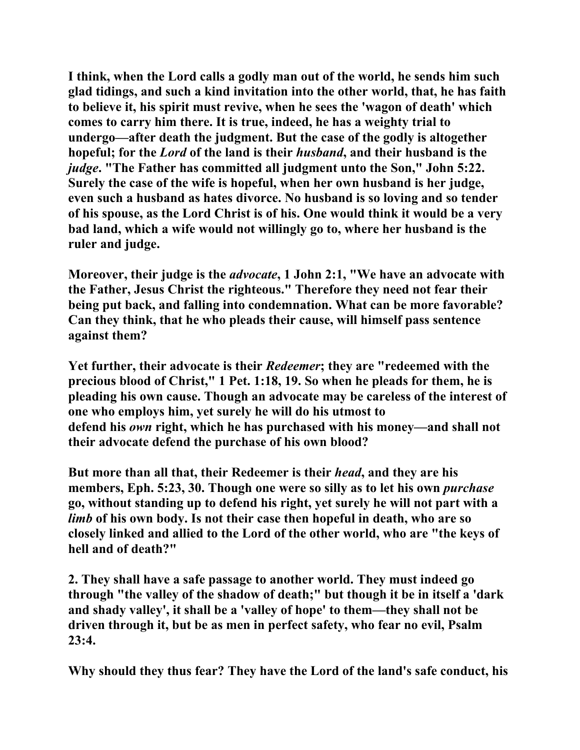**I think, when the Lord calls a godly man out of the world, he sends him such glad tidings, and such a kind invitation into the other world, that, he has faith to believe it, his spirit must revive, when he sees the 'wagon of death' which comes to carry him there. It is true, indeed, he has a weighty trial to undergo—after death the judgment. But the case of the godly is altogether hopeful; for the** *Lord* **of the land is their** *husband***, and their husband is the**  *judge***. "The Father has committed all judgment unto the Son," John 5:22. Surely the case of the wife is hopeful, when her own husband is her judge, even such a husband as hates divorce. No husband is so loving and so tender of his spouse, as the Lord Christ is of his. One would think it would be a very bad land, which a wife would not willingly go to, where her husband is the ruler and judge.** 

**Moreover, their judge is the** *advocate***, 1 John 2:1, "We have an advocate with the Father, Jesus Christ the righteous." Therefore they need not fear their being put back, and falling into condemnation. What can be more favorable? Can they think, that he who pleads their cause, will himself pass sentence against them?** 

**Yet further, their advocate is their** *Redeemer***; they are "redeemed with the precious blood of Christ," 1 Pet. 1:18, 19. So when he pleads for them, he is pleading his own cause. Though an advocate may be careless of the interest of one who employs him, yet surely he will do his utmost to defend his** *own* **right, which he has purchased with his money—and shall not their advocate defend the purchase of his own blood?** 

**But more than all that, their Redeemer is their** *head***, and they are his members, Eph. 5:23, 30. Though one were so silly as to let his own** *purchase* **go, without standing up to defend his right, yet surely he will not part with a**  *limb* **of his own body. Is not their case then hopeful in death, who are so closely linked and allied to the Lord of the other world, who are "the keys of hell and of death?"** 

**2. They shall have a safe passage to another world. They must indeed go through "the valley of the shadow of death;" but though it be in itself a 'dark and shady valley', it shall be a 'valley of hope' to them—they shall not be driven through it, but be as men in perfect safety, who fear no evil, Psalm 23:4.** 

**Why should they thus fear? They have the Lord of the land's safe conduct, his**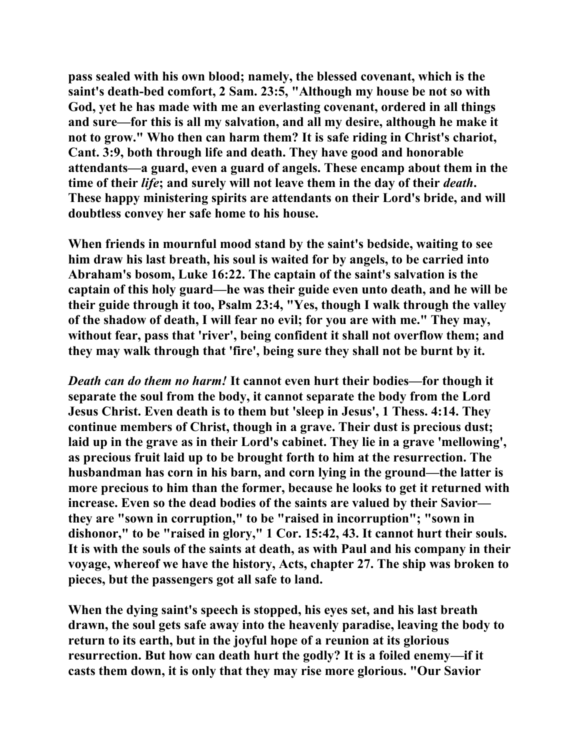**pass sealed with his own blood; namely, the blessed covenant, which is the saint's death-bed comfort, 2 Sam. 23:5, "Although my house be not so with God, yet he has made with me an everlasting covenant, ordered in all things and sure—for this is all my salvation, and all my desire, although he make it not to grow." Who then can harm them? It is safe riding in Christ's chariot, Cant. 3:9, both through life and death. They have good and honorable attendants—a guard, even a guard of angels. These encamp about them in the time of their** *life***; and surely will not leave them in the day of their** *death***. These happy ministering spirits are attendants on their Lord's bride, and will doubtless convey her safe home to his house.** 

**When friends in mournful mood stand by the saint's bedside, waiting to see him draw his last breath, his soul is waited for by angels, to be carried into Abraham's bosom, Luke 16:22. The captain of the saint's salvation is the captain of this holy guard—he was their guide even unto death, and he will be their guide through it too, Psalm 23:4, "Yes, though I walk through the valley of the shadow of death, I will fear no evil; for you are with me." They may, without fear, pass that 'river', being confident it shall not overflow them; and they may walk through that 'fire', being sure they shall not be burnt by it.** 

*Death can do them no harm!* **It cannot even hurt their bodies—for though it separate the soul from the body, it cannot separate the body from the Lord Jesus Christ. Even death is to them but 'sleep in Jesus', 1 Thess. 4:14. They continue members of Christ, though in a grave. Their dust is precious dust; laid up in the grave as in their Lord's cabinet. They lie in a grave 'mellowing', as precious fruit laid up to be brought forth to him at the resurrection. The husbandman has corn in his barn, and corn lying in the ground—the latter is more precious to him than the former, because he looks to get it returned with increase. Even so the dead bodies of the saints are valued by their Savior they are "sown in corruption," to be "raised in incorruption"; "sown in dishonor," to be "raised in glory," 1 Cor. 15:42, 43. It cannot hurt their souls. It is with the souls of the saints at death, as with Paul and his company in their voyage, whereof we have the history, Acts, chapter 27. The ship was broken to pieces, but the passengers got all safe to land.** 

**When the dying saint's speech is stopped, his eyes set, and his last breath drawn, the soul gets safe away into the heavenly paradise, leaving the body to return to its earth, but in the joyful hope of a reunion at its glorious resurrection. But how can death hurt the godly? It is a foiled enemy—if it casts them down, it is only that they may rise more glorious. "Our Savior**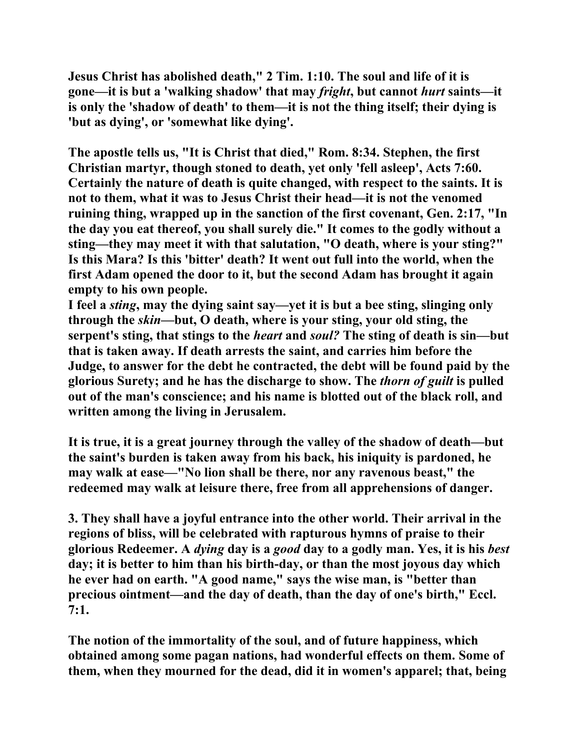**Jesus Christ has abolished death," 2 Tim. 1:10. The soul and life of it is gone—it is but a 'walking shadow' that may** *fright***, but cannot** *hurt* **saints—it is only the 'shadow of death' to them—it is not the thing itself; their dying is 'but as dying', or 'somewhat like dying'.** 

**The apostle tells us, "It is Christ that died," Rom. 8:34. Stephen, the first Christian martyr, though stoned to death, yet only 'fell asleep', Acts 7:60. Certainly the nature of death is quite changed, with respect to the saints. It is not to them, what it was to Jesus Christ their head—it is not the venomed ruining thing, wrapped up in the sanction of the first covenant, Gen. 2:17, "In the day you eat thereof, you shall surely die." It comes to the godly without a sting—they may meet it with that salutation, "O death, where is your sting?" Is this Mara? Is this 'bitter' death? It went out full into the world, when the first Adam opened the door to it, but the second Adam has brought it again empty to his own people.** 

**I feel a** *sting***, may the dying saint say—yet it is but a bee sting, slinging only through the** *skin***—but, O death, where is your sting, your old sting, the serpent's sting, that stings to the** *heart* **and** *soul?* **The sting of death is sin—but that is taken away. If death arrests the saint, and carries him before the Judge, to answer for the debt he contracted, the debt will be found paid by the glorious Surety; and he has the discharge to show. The** *thorn of guilt* **is pulled out of the man's conscience; and his name is blotted out of the black roll, and written among the living in Jerusalem.** 

**It is true, it is a great journey through the valley of the shadow of death—but the saint's burden is taken away from his back, his iniquity is pardoned, he may walk at ease—"No lion shall be there, nor any ravenous beast," the redeemed may walk at leisure there, free from all apprehensions of danger.** 

**3. They shall have a joyful entrance into the other world. Their arrival in the regions of bliss, will be celebrated with rapturous hymns of praise to their glorious Redeemer. A** *dying* **day is a** *good* **day to a godly man. Yes, it is his** *best* **day; it is better to him than his birth-day, or than the most joyous day which he ever had on earth. "A good name," says the wise man, is "better than precious ointment—and the day of death, than the day of one's birth," Eccl. 7:1.** 

**The notion of the immortality of the soul, and of future happiness, which obtained among some pagan nations, had wonderful effects on them. Some of them, when they mourned for the dead, did it in women's apparel; that, being**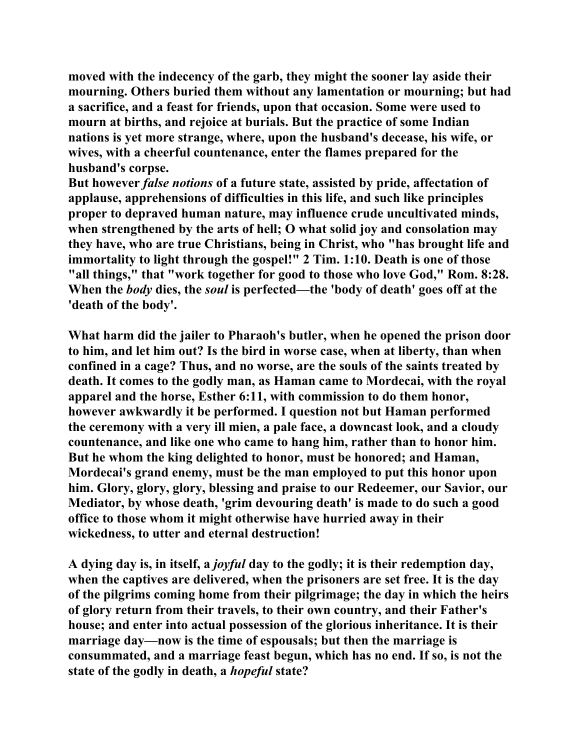**moved with the indecency of the garb, they might the sooner lay aside their mourning. Others buried them without any lamentation or mourning; but had a sacrifice, and a feast for friends, upon that occasion. Some were used to mourn at births, and rejoice at burials. But the practice of some Indian nations is yet more strange, where, upon the husband's decease, his wife, or wives, with a cheerful countenance, enter the flames prepared for the husband's corpse.** 

**But however** *false notions* **of a future state, assisted by pride, affectation of applause, apprehensions of difficulties in this life, and such like principles proper to depraved human nature, may influence crude uncultivated minds, when strengthened by the arts of hell; O what solid joy and consolation may they have, who are true Christians, being in Christ, who "has brought life and immortality to light through the gospel!" 2 Tim. 1:10. Death is one of those "all things," that "work together for good to those who love God," Rom. 8:28. When the** *body* **dies, the** *soul* **is perfected—the 'body of death' goes off at the 'death of the body'.** 

**What harm did the jailer to Pharaoh's butler, when he opened the prison door to him, and let him out? Is the bird in worse case, when at liberty, than when confined in a cage? Thus, and no worse, are the souls of the saints treated by death. It comes to the godly man, as Haman came to Mordecai, with the royal apparel and the horse, Esther 6:11, with commission to do them honor, however awkwardly it be performed. I question not but Haman performed the ceremony with a very ill mien, a pale face, a downcast look, and a cloudy countenance, and like one who came to hang him, rather than to honor him. But he whom the king delighted to honor, must be honored; and Haman, Mordecai's grand enemy, must be the man employed to put this honor upon him. Glory, glory, glory, blessing and praise to our Redeemer, our Savior, our Mediator, by whose death, 'grim devouring death' is made to do such a good office to those whom it might otherwise have hurried away in their wickedness, to utter and eternal destruction!** 

**A dying day is, in itself, a** *joyful* **day to the godly; it is their redemption day, when the captives are delivered, when the prisoners are set free. It is the day of the pilgrims coming home from their pilgrimage; the day in which the heirs of glory return from their travels, to their own country, and their Father's house; and enter into actual possession of the glorious inheritance. It is their marriage day—now is the time of espousals; but then the marriage is consummated, and a marriage feast begun, which has no end. If so, is not the state of the godly in death, a** *hopeful* **state?**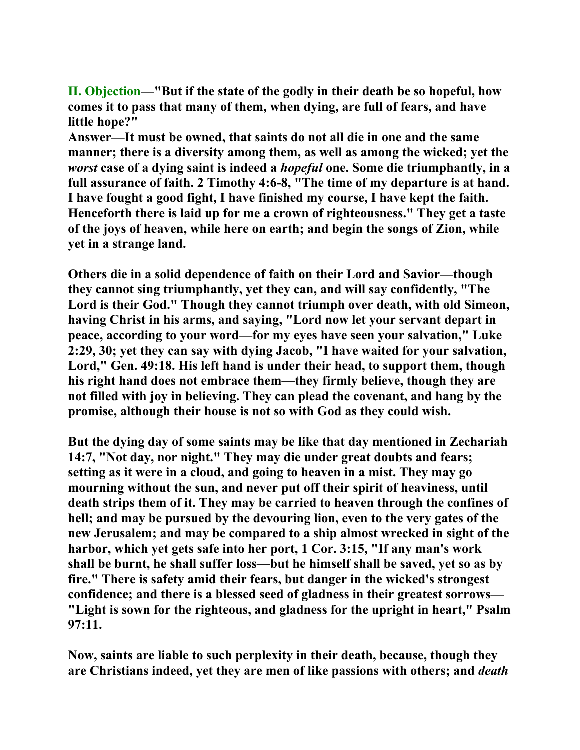**II. Objection—"But if the state of the godly in their death be so hopeful, how comes it to pass that many of them, when dying, are full of fears, and have little hope?"** 

**Answer—It must be owned, that saints do not all die in one and the same manner; there is a diversity among them, as well as among the wicked; yet the**  *worst* **case of a dying saint is indeed a** *hopeful* **one. Some die triumphantly, in a full assurance of faith. 2 Timothy 4:6-8, "The time of my departure is at hand. I have fought a good fight, I have finished my course, I have kept the faith. Henceforth there is laid up for me a crown of righteousness." They get a taste of the joys of heaven, while here on earth; and begin the songs of Zion, while yet in a strange land.** 

**Others die in a solid dependence of faith on their Lord and Savior—though they cannot sing triumphantly, yet they can, and will say confidently, "The Lord is their God." Though they cannot triumph over death, with old Simeon, having Christ in his arms, and saying, "Lord now let your servant depart in peace, according to your word—for my eyes have seen your salvation," Luke 2:29, 30; yet they can say with dying Jacob, "I have waited for your salvation, Lord," Gen. 49:18. His left hand is under their head, to support them, though his right hand does not embrace them—they firmly believe, though they are not filled with joy in believing. They can plead the covenant, and hang by the promise, although their house is not so with God as they could wish.** 

**But the dying day of some saints may be like that day mentioned in Zechariah 14:7, "Not day, nor night." They may die under great doubts and fears; setting as it were in a cloud, and going to heaven in a mist. They may go mourning without the sun, and never put off their spirit of heaviness, until death strips them of it. They may be carried to heaven through the confines of hell; and may be pursued by the devouring lion, even to the very gates of the new Jerusalem; and may be compared to a ship almost wrecked in sight of the harbor, which yet gets safe into her port, 1 Cor. 3:15, "If any man's work shall be burnt, he shall suffer loss—but he himself shall be saved, yet so as by fire." There is safety amid their fears, but danger in the wicked's strongest confidence; and there is a blessed seed of gladness in their greatest sorrows— "Light is sown for the righteous, and gladness for the upright in heart," Psalm 97:11.** 

**Now, saints are liable to such perplexity in their death, because, though they are Christians indeed, yet they are men of like passions with others; and** *death*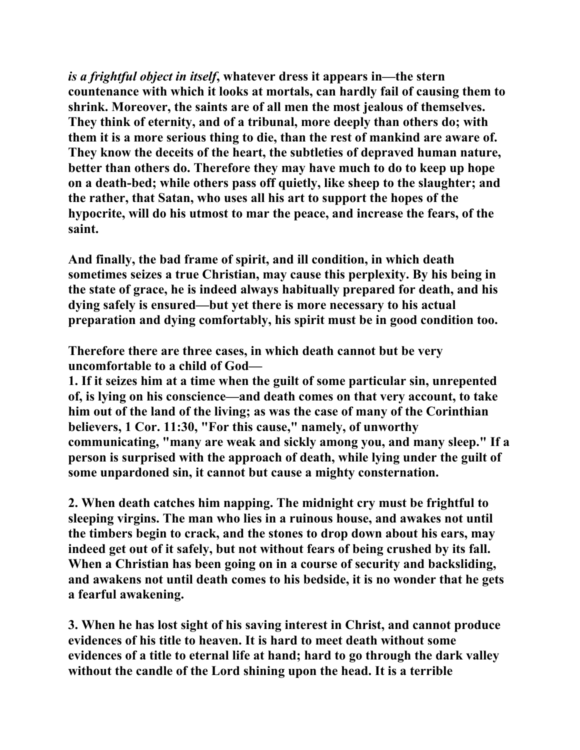*is a frightful object in itself***, whatever dress it appears in—the stern countenance with which it looks at mortals, can hardly fail of causing them to shrink. Moreover, the saints are of all men the most jealous of themselves. They think of eternity, and of a tribunal, more deeply than others do; with them it is a more serious thing to die, than the rest of mankind are aware of. They know the deceits of the heart, the subtleties of depraved human nature, better than others do. Therefore they may have much to do to keep up hope on a death-bed; while others pass off quietly, like sheep to the slaughter; and the rather, that Satan, who uses all his art to support the hopes of the hypocrite, will do his utmost to mar the peace, and increase the fears, of the saint.** 

**And finally, the bad frame of spirit, and ill condition, in which death sometimes seizes a true Christian, may cause this perplexity. By his being in the state of grace, he is indeed always habitually prepared for death, and his dying safely is ensured—but yet there is more necessary to his actual preparation and dying comfortably, his spirit must be in good condition too.** 

**Therefore there are three cases, in which death cannot but be very uncomfortable to a child of God—** 

**1. If it seizes him at a time when the guilt of some particular sin, unrepented of, is lying on his conscience—and death comes on that very account, to take him out of the land of the living; as was the case of many of the Corinthian believers, 1 Cor. 11:30, "For this cause," namely, of unworthy communicating, "many are weak and sickly among you, and many sleep." If a person is surprised with the approach of death, while lying under the guilt of some unpardoned sin, it cannot but cause a mighty consternation.** 

**2. When death catches him napping. The midnight cry must be frightful to sleeping virgins. The man who lies in a ruinous house, and awakes not until the timbers begin to crack, and the stones to drop down about his ears, may indeed get out of it safely, but not without fears of being crushed by its fall. When a Christian has been going on in a course of security and backsliding, and awakens not until death comes to his bedside, it is no wonder that he gets a fearful awakening.** 

**3. When he has lost sight of his saving interest in Christ, and cannot produce evidences of his title to heaven. It is hard to meet death without some evidences of a title to eternal life at hand; hard to go through the dark valley without the candle of the Lord shining upon the head. It is a terrible**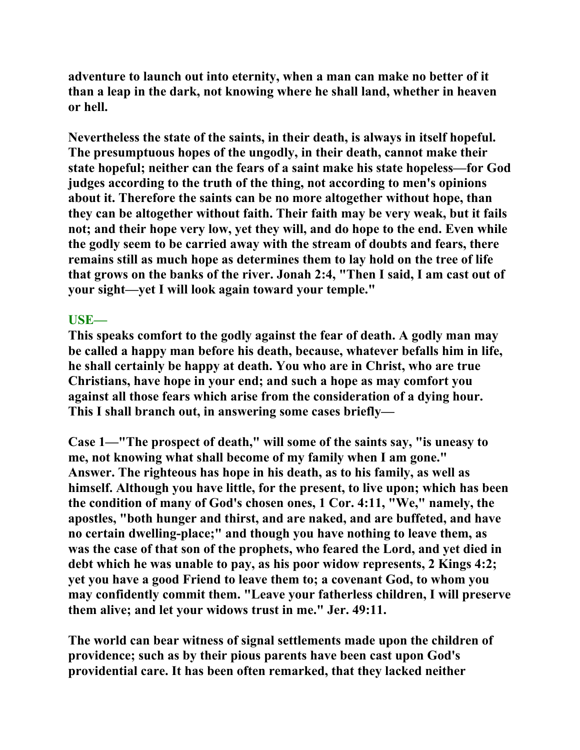**adventure to launch out into eternity, when a man can make no better of it than a leap in the dark, not knowing where he shall land, whether in heaven or hell.** 

**Nevertheless the state of the saints, in their death, is always in itself hopeful. The presumptuous hopes of the ungodly, in their death, cannot make their state hopeful; neither can the fears of a saint make his state hopeless—for God judges according to the truth of the thing, not according to men's opinions about it. Therefore the saints can be no more altogether without hope, than they can be altogether without faith. Their faith may be very weak, but it fails not; and their hope very low, yet they will, and do hope to the end. Even while the godly seem to be carried away with the stream of doubts and fears, there remains still as much hope as determines them to lay hold on the tree of life that grows on the banks of the river. Jonah 2:4, "Then I said, I am cast out of your sight—yet I will look again toward your temple."** 

## **USE—**

**This speaks comfort to the godly against the fear of death. A godly man may be called a happy man before his death, because, whatever befalls him in life, he shall certainly be happy at death. You who are in Christ, who are true Christians, have hope in your end; and such a hope as may comfort you against all those fears which arise from the consideration of a dying hour. This I shall branch out, in answering some cases briefly—** 

**Case 1—"The prospect of death," will some of the saints say, "is uneasy to me, not knowing what shall become of my family when I am gone." Answer. The righteous has hope in his death, as to his family, as well as himself. Although you have little, for the present, to live upon; which has been the condition of many of God's chosen ones, 1 Cor. 4:11, "We," namely, the apostles, "both hunger and thirst, and are naked, and are buffeted, and have no certain dwelling-place;" and though you have nothing to leave them, as was the case of that son of the prophets, who feared the Lord, and yet died in debt which he was unable to pay, as his poor widow represents, 2 Kings 4:2; yet you have a good Friend to leave them to; a covenant God, to whom you may confidently commit them. "Leave your fatherless children, I will preserve them alive; and let your widows trust in me." Jer. 49:11.** 

**The world can bear witness of signal settlements made upon the children of providence; such as by their pious parents have been cast upon God's providential care. It has been often remarked, that they lacked neither**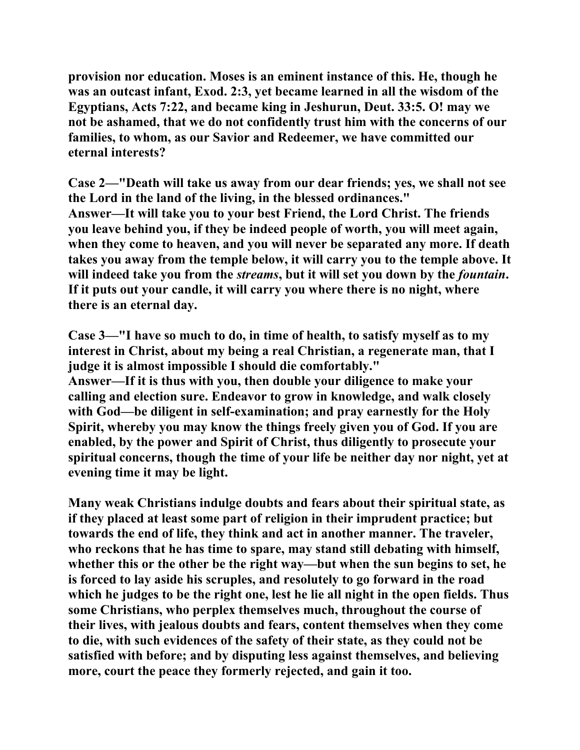**provision nor education. Moses is an eminent instance of this. He, though he was an outcast infant, Exod. 2:3, yet became learned in all the wisdom of the Egyptians, Acts 7:22, and became king in Jeshurun, Deut. 33:5. O! may we not be ashamed, that we do not confidently trust him with the concerns of our families, to whom, as our Savior and Redeemer, we have committed our eternal interests?** 

**Case 2—"Death will take us away from our dear friends; yes, we shall not see the Lord in the land of the living, in the blessed ordinances." Answer—It will take you to your best Friend, the Lord Christ. The friends you leave behind you, if they be indeed people of worth, you will meet again, when they come to heaven, and you will never be separated any more. If death takes you away from the temple below, it will carry you to the temple above. It will indeed take you from the** *streams***, but it will set you down by the** *fountain***. If it puts out your candle, it will carry you where there is no night, where there is an eternal day.** 

**Case 3—"I have so much to do, in time of health, to satisfy myself as to my interest in Christ, about my being a real Christian, a regenerate man, that I judge it is almost impossible I should die comfortably." Answer—If it is thus with you, then double your diligence to make your calling and election sure. Endeavor to grow in knowledge, and walk closely with God—be diligent in self-examination; and pray earnestly for the Holy Spirit, whereby you may know the things freely given you of God. If you are enabled, by the power and Spirit of Christ, thus diligently to prosecute your spiritual concerns, though the time of your life be neither day nor night, yet at evening time it may be light.** 

**Many weak Christians indulge doubts and fears about their spiritual state, as if they placed at least some part of religion in their imprudent practice; but towards the end of life, they think and act in another manner. The traveler, who reckons that he has time to spare, may stand still debating with himself, whether this or the other be the right way—but when the sun begins to set, he is forced to lay aside his scruples, and resolutely to go forward in the road which he judges to be the right one, lest he lie all night in the open fields. Thus some Christians, who perplex themselves much, throughout the course of their lives, with jealous doubts and fears, content themselves when they come to die, with such evidences of the safety of their state, as they could not be satisfied with before; and by disputing less against themselves, and believing more, court the peace they formerly rejected, and gain it too.**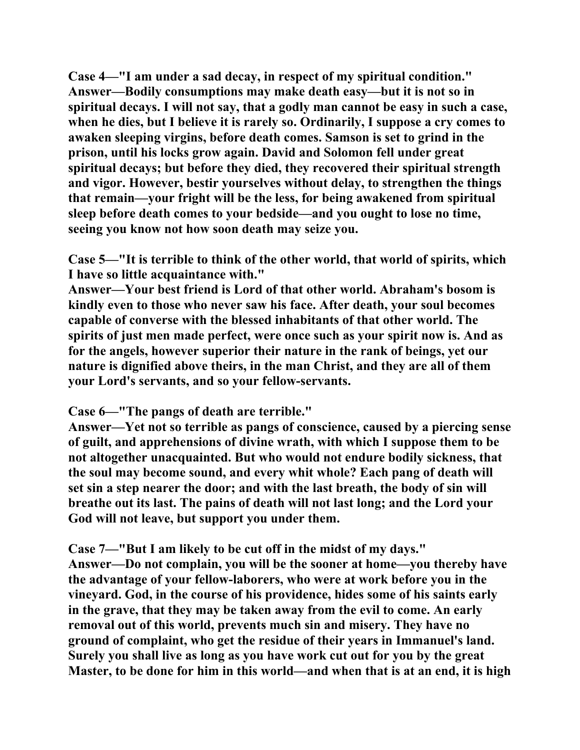**Case 4—"I am under a sad decay, in respect of my spiritual condition." Answer—Bodily consumptions may make death easy—but it is not so in spiritual decays. I will not say, that a godly man cannot be easy in such a case, when he dies, but I believe it is rarely so. Ordinarily, I suppose a cry comes to awaken sleeping virgins, before death comes. Samson is set to grind in the prison, until his locks grow again. David and Solomon fell under great spiritual decays; but before they died, they recovered their spiritual strength and vigor. However, bestir yourselves without delay, to strengthen the things that remain—your fright will be the less, for being awakened from spiritual sleep before death comes to your bedside—and you ought to lose no time, seeing you know not how soon death may seize you.** 

**Case 5—"It is terrible to think of the other world, that world of spirits, which I have so little acquaintance with."** 

**Answer—Your best friend is Lord of that other world. Abraham's bosom is kindly even to those who never saw his face. After death, your soul becomes capable of converse with the blessed inhabitants of that other world. The spirits of just men made perfect, were once such as your spirit now is. And as for the angels, however superior their nature in the rank of beings, yet our nature is dignified above theirs, in the man Christ, and they are all of them your Lord's servants, and so your fellow-servants.** 

#### **Case 6—"The pangs of death are terrible."**

**Answer—Yet not so terrible as pangs of conscience, caused by a piercing sense of guilt, and apprehensions of divine wrath, with which I suppose them to be not altogether unacquainted. But who would not endure bodily sickness, that the soul may become sound, and every whit whole? Each pang of death will set sin a step nearer the door; and with the last breath, the body of sin will breathe out its last. The pains of death will not last long; and the Lord your God will not leave, but support you under them.** 

**Case 7—"But I am likely to be cut off in the midst of my days." Answer—Do not complain, you will be the sooner at home—you thereby have the advantage of your fellow-laborers, who were at work before you in the vineyard. God, in the course of his providence, hides some of his saints early in the grave, that they may be taken away from the evil to come. An early removal out of this world, prevents much sin and misery. They have no ground of complaint, who get the residue of their years in Immanuel's land. Surely you shall live as long as you have work cut out for you by the great Master, to be done for him in this world—and when that is at an end, it is high**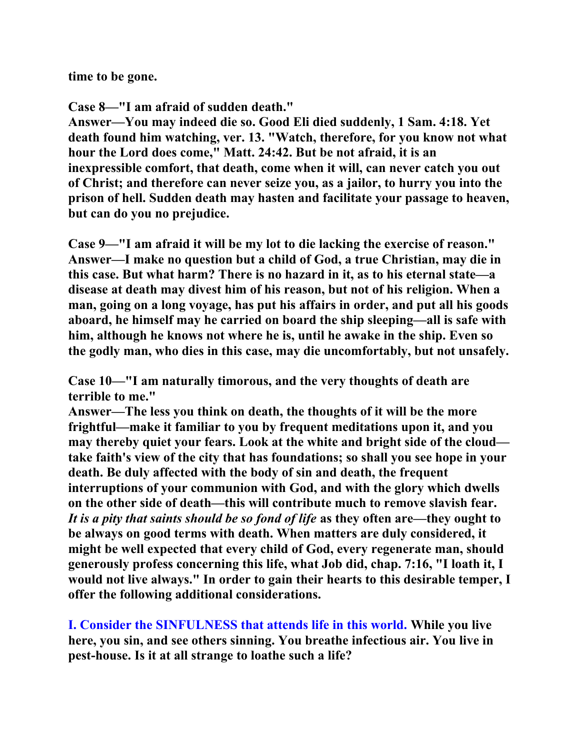**time to be gone.** 

**Case 8—"I am afraid of sudden death."** 

**Answer—You may indeed die so. Good Eli died suddenly, 1 Sam. 4:18. Yet death found him watching, ver. 13. "Watch, therefore, for you know not what hour the Lord does come," Matt. 24:42. But be not afraid, it is an inexpressible comfort, that death, come when it will, can never catch you out of Christ; and therefore can never seize you, as a jailor, to hurry you into the prison of hell. Sudden death may hasten and facilitate your passage to heaven, but can do you no prejudice.** 

**Case 9—"I am afraid it will be my lot to die lacking the exercise of reason." Answer—I make no question but a child of God, a true Christian, may die in this case. But what harm? There is no hazard in it, as to his eternal state—a disease at death may divest him of his reason, but not of his religion. When a man, going on a long voyage, has put his affairs in order, and put all his goods aboard, he himself may he carried on board the ship sleeping—all is safe with him, although he knows not where he is, until he awake in the ship. Even so the godly man, who dies in this case, may die uncomfortably, but not unsafely.** 

**Case 10—"I am naturally timorous, and the very thoughts of death are terrible to me."** 

**Answer—The less you think on death, the thoughts of it will be the more frightful—make it familiar to you by frequent meditations upon it, and you may thereby quiet your fears. Look at the white and bright side of the cloud take faith's view of the city that has foundations; so shall you see hope in your death. Be duly affected with the body of sin and death, the frequent interruptions of your communion with God, and with the glory which dwells on the other side of death—this will contribute much to remove slavish fear.**  *It is a pity that saints should be so fond of life* **as they often are—they ought to be always on good terms with death. When matters are duly considered, it might be well expected that every child of God, every regenerate man, should generously profess concerning this life, what Job did, chap. 7:16, "I loath it, I would not live always." In order to gain their hearts to this desirable temper, I offer the following additional considerations.** 

**I. Consider the SINFULNESS that attends life in this world. While you live here, you sin, and see others sinning. You breathe infectious air. You live in pest-house. Is it at all strange to loathe such a life?**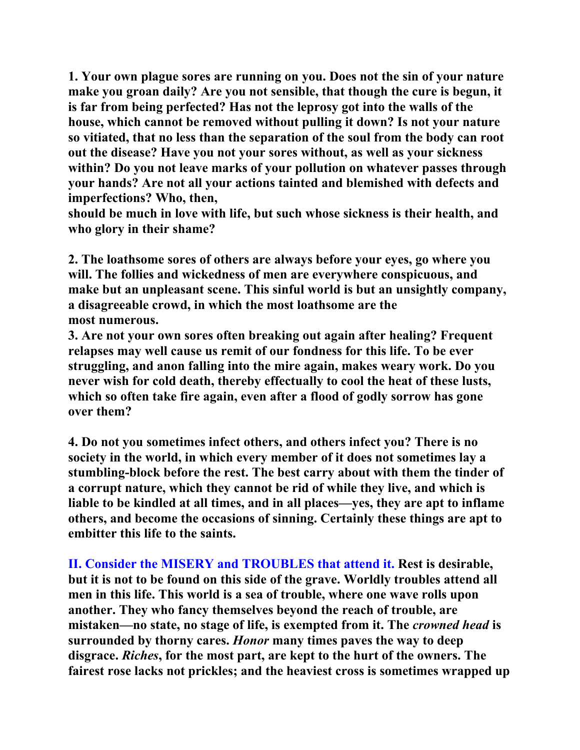**1. Your own plague sores are running on you. Does not the sin of your nature make you groan daily? Are you not sensible, that though the cure is begun, it is far from being perfected? Has not the leprosy got into the walls of the house, which cannot be removed without pulling it down? Is not your nature so vitiated, that no less than the separation of the soul from the body can root out the disease? Have you not your sores without, as well as your sickness within? Do you not leave marks of your pollution on whatever passes through your hands? Are not all your actions tainted and blemished with defects and imperfections? Who, then,** 

**should be much in love with life, but such whose sickness is their health, and who glory in their shame?** 

**2. The loathsome sores of others are always before your eyes, go where you will. The follies and wickedness of men are everywhere conspicuous, and make but an unpleasant scene. This sinful world is but an unsightly company, a disagreeable crowd, in which the most loathsome are the most numerous.** 

**3. Are not your own sores often breaking out again after healing? Frequent relapses may well cause us remit of our fondness for this life. To be ever struggling, and anon falling into the mire again, makes weary work. Do you never wish for cold death, thereby effectually to cool the heat of these lusts, which so often take fire again, even after a flood of godly sorrow has gone over them?** 

**4. Do not you sometimes infect others, and others infect you? There is no society in the world, in which every member of it does not sometimes lay a stumbling-block before the rest. The best carry about with them the tinder of a corrupt nature, which they cannot be rid of while they live, and which is liable to be kindled at all times, and in all places—yes, they are apt to inflame others, and become the occasions of sinning. Certainly these things are apt to embitter this life to the saints.** 

**II. Consider the MISERY and TROUBLES that attend it. Rest is desirable, but it is not to be found on this side of the grave. Worldly troubles attend all men in this life. This world is a sea of trouble, where one wave rolls upon another. They who fancy themselves beyond the reach of trouble, are**  mistaken—no state, no stage of life, is exempted from it. The *crowned head* is **surrounded by thorny cares.** *Honor* **many times paves the way to deep disgrace.** *Riches***, for the most part, are kept to the hurt of the owners. The fairest rose lacks not prickles; and the heaviest cross is sometimes wrapped up**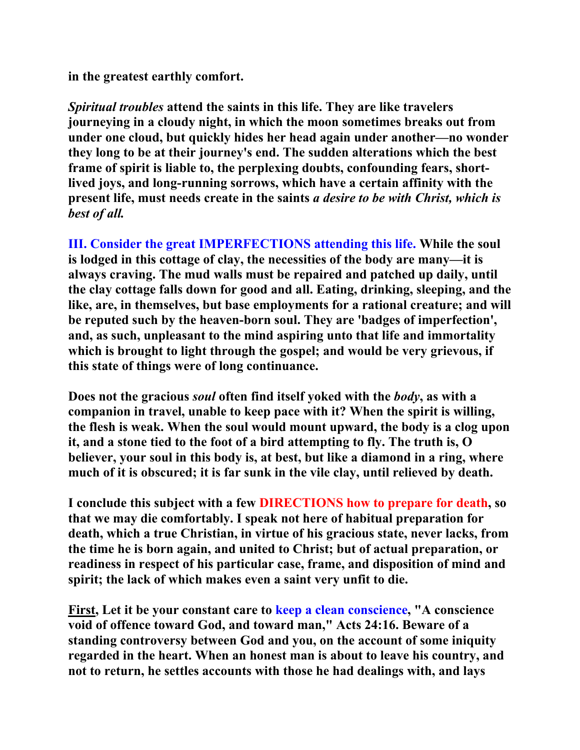**in the greatest earthly comfort.** 

*Spiritual troubles* **attend the saints in this life. They are like travelers journeying in a cloudy night, in which the moon sometimes breaks out from under one cloud, but quickly hides her head again under another—no wonder they long to be at their journey's end. The sudden alterations which the best frame of spirit is liable to, the perplexing doubts, confounding fears, shortlived joys, and long-running sorrows, which have a certain affinity with the present life, must needs create in the saints** *a desire to be with Christ, which is best of all.*

**III. Consider the great IMPERFECTIONS attending this life. While the soul is lodged in this cottage of clay, the necessities of the body are many—it is always craving. The mud walls must be repaired and patched up daily, until the clay cottage falls down for good and all. Eating, drinking, sleeping, and the like, are, in themselves, but base employments for a rational creature; and will be reputed such by the heaven-born soul. They are 'badges of imperfection', and, as such, unpleasant to the mind aspiring unto that life and immortality which is brought to light through the gospel; and would be very grievous, if this state of things were of long continuance.** 

**Does not the gracious** *soul* **often find itself yoked with the** *body***, as with a companion in travel, unable to keep pace with it? When the spirit is willing, the flesh is weak. When the soul would mount upward, the body is a clog upon it, and a stone tied to the foot of a bird attempting to fly. The truth is, O believer, your soul in this body is, at best, but like a diamond in a ring, where much of it is obscured; it is far sunk in the vile clay, until relieved by death.** 

**I conclude this subject with a few DIRECTIONS how to prepare for death, so that we may die comfortably. I speak not here of habitual preparation for death, which a true Christian, in virtue of his gracious state, never lacks, from the time he is born again, and united to Christ; but of actual preparation, or readiness in respect of his particular case, frame, and disposition of mind and spirit; the lack of which makes even a saint very unfit to die.** 

**First, Let it be your constant care to keep a clean conscience, "A conscience void of offence toward God, and toward man," Acts 24:16. Beware of a standing controversy between God and you, on the account of some iniquity regarded in the heart. When an honest man is about to leave his country, and not to return, he settles accounts with those he had dealings with, and lays**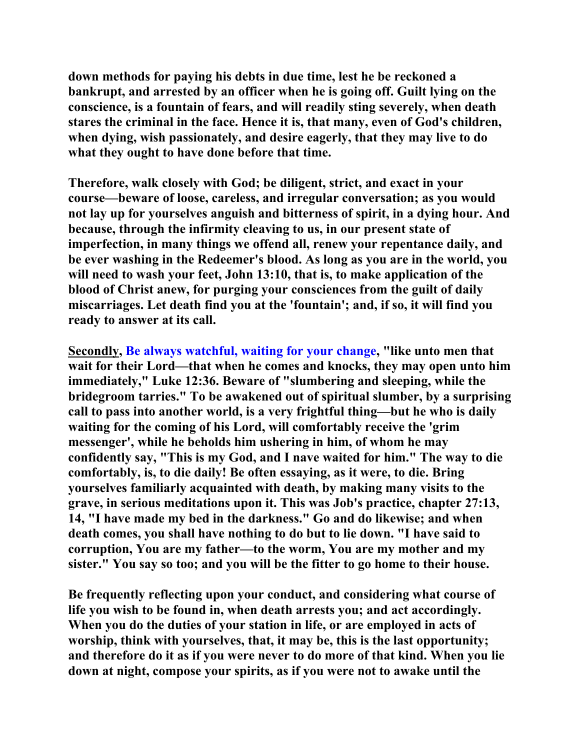**down methods for paying his debts in due time, lest he be reckoned a bankrupt, and arrested by an officer when he is going off. Guilt lying on the conscience, is a fountain of fears, and will readily sting severely, when death stares the criminal in the face. Hence it is, that many, even of God's children, when dying, wish passionately, and desire eagerly, that they may live to do what they ought to have done before that time.** 

**Therefore, walk closely with God; be diligent, strict, and exact in your course—beware of loose, careless, and irregular conversation; as you would not lay up for yourselves anguish and bitterness of spirit, in a dying hour. And because, through the infirmity cleaving to us, in our present state of imperfection, in many things we offend all, renew your repentance daily, and be ever washing in the Redeemer's blood. As long as you are in the world, you will need to wash your feet, John 13:10, that is, to make application of the blood of Christ anew, for purging your consciences from the guilt of daily miscarriages. Let death find you at the 'fountain'; and, if so, it will find you ready to answer at its call.** 

**Secondly, Be always watchful, waiting for your change, "like unto men that wait for their Lord—that when he comes and knocks, they may open unto him immediately," Luke 12:36. Beware of "slumbering and sleeping, while the bridegroom tarries." To be awakened out of spiritual slumber, by a surprising call to pass into another world, is a very frightful thing—but he who is daily waiting for the coming of his Lord, will comfortably receive the 'grim messenger', while he beholds him ushering in him, of whom he may confidently say, "This is my God, and I nave waited for him." The way to die comfortably, is, to die daily! Be often essaying, as it were, to die. Bring yourselves familiarly acquainted with death, by making many visits to the grave, in serious meditations upon it. This was Job's practice, chapter 27:13, 14, "I have made my bed in the darkness." Go and do likewise; and when death comes, you shall have nothing to do but to lie down. "I have said to corruption, You are my father—to the worm, You are my mother and my sister." You say so too; and you will be the fitter to go home to their house.** 

**Be frequently reflecting upon your conduct, and considering what course of life you wish to be found in, when death arrests you; and act accordingly. When you do the duties of your station in life, or are employed in acts of worship, think with yourselves, that, it may be, this is the last opportunity; and therefore do it as if you were never to do more of that kind. When you lie down at night, compose your spirits, as if you were not to awake until the**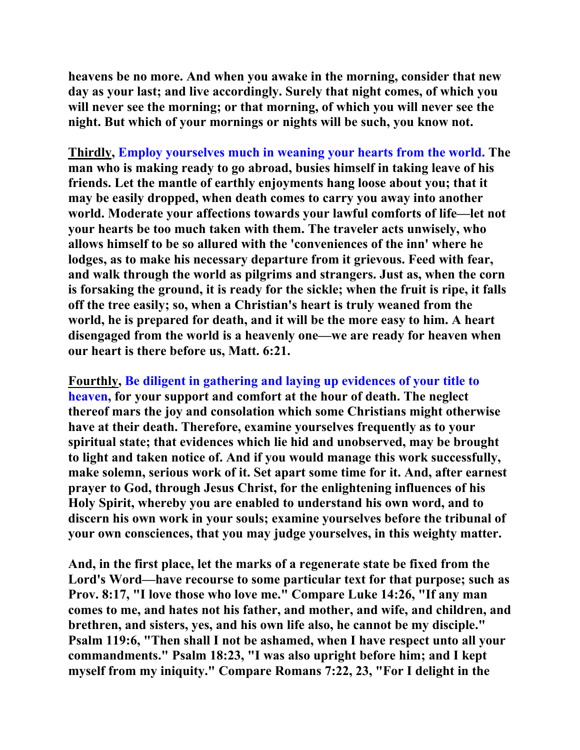**heavens be no more. And when you awake in the morning, consider that new day as your last; and live accordingly. Surely that night comes, of which you will never see the morning; or that morning, of which you will never see the night. But which of your mornings or nights will be such, you know not.** 

**Thirdly, Employ yourselves much in weaning your hearts from the world. The man who is making ready to go abroad, busies himself in taking leave of his friends. Let the mantle of earthly enjoyments hang loose about you; that it may be easily dropped, when death comes to carry you away into another world. Moderate your affections towards your lawful comforts of life—let not your hearts be too much taken with them. The traveler acts unwisely, who allows himself to be so allured with the 'conveniences of the inn' where he lodges, as to make his necessary departure from it grievous. Feed with fear, and walk through the world as pilgrims and strangers. Just as, when the corn is forsaking the ground, it is ready for the sickle; when the fruit is ripe, it falls off the tree easily; so, when a Christian's heart is truly weaned from the world, he is prepared for death, and it will be the more easy to him. A heart disengaged from the world is a heavenly one—we are ready for heaven when our heart is there before us, Matt. 6:21.** 

**Fourthly, Be diligent in gathering and laying up evidences of your title to heaven, for your support and comfort at the hour of death. The neglect thereof mars the joy and consolation which some Christians might otherwise have at their death. Therefore, examine yourselves frequently as to your spiritual state; that evidences which lie hid and unobserved, may be brought to light and taken notice of. And if you would manage this work successfully, make solemn, serious work of it. Set apart some time for it. And, after earnest prayer to God, through Jesus Christ, for the enlightening influences of his Holy Spirit, whereby you are enabled to understand his own word, and to discern his own work in your souls; examine yourselves before the tribunal of your own consciences, that you may judge yourselves, in this weighty matter.** 

**And, in the first place, let the marks of a regenerate state be fixed from the Lord's Word—have recourse to some particular text for that purpose; such as Prov. 8:17, "I love those who love me." Compare Luke 14:26, "If any man comes to me, and hates not his father, and mother, and wife, and children, and brethren, and sisters, yes, and his own life also, he cannot be my disciple." Psalm 119:6, "Then shall I not be ashamed, when I have respect unto all your commandments." Psalm 18:23, "I was also upright before him; and I kept myself from my iniquity." Compare Romans 7:22, 23, "For I delight in the**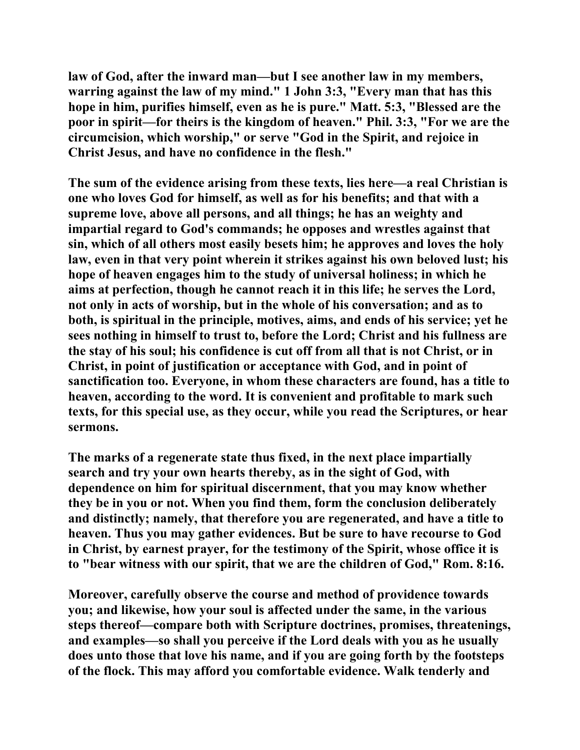**law of God, after the inward man—but I see another law in my members, warring against the law of my mind." 1 John 3:3, "Every man that has this hope in him, purifies himself, even as he is pure." Matt. 5:3, "Blessed are the poor in spirit—for theirs is the kingdom of heaven." Phil. 3:3, "For we are the circumcision, which worship," or serve "God in the Spirit, and rejoice in Christ Jesus, and have no confidence in the flesh."** 

**The sum of the evidence arising from these texts, lies here—a real Christian is one who loves God for himself, as well as for his benefits; and that with a supreme love, above all persons, and all things; he has an weighty and impartial regard to God's commands; he opposes and wrestles against that sin, which of all others most easily besets him; he approves and loves the holy law, even in that very point wherein it strikes against his own beloved lust; his hope of heaven engages him to the study of universal holiness; in which he aims at perfection, though he cannot reach it in this life; he serves the Lord, not only in acts of worship, but in the whole of his conversation; and as to both, is spiritual in the principle, motives, aims, and ends of his service; yet he sees nothing in himself to trust to, before the Lord; Christ and his fullness are the stay of his soul; his confidence is cut off from all that is not Christ, or in Christ, in point of justification or acceptance with God, and in point of sanctification too. Everyone, in whom these characters are found, has a title to heaven, according to the word. It is convenient and profitable to mark such texts, for this special use, as they occur, while you read the Scriptures, or hear sermons.** 

**The marks of a regenerate state thus fixed, in the next place impartially search and try your own hearts thereby, as in the sight of God, with dependence on him for spiritual discernment, that you may know whether they be in you or not. When you find them, form the conclusion deliberately and distinctly; namely, that therefore you are regenerated, and have a title to heaven. Thus you may gather evidences. But be sure to have recourse to God in Christ, by earnest prayer, for the testimony of the Spirit, whose office it is to "bear witness with our spirit, that we are the children of God," Rom. 8:16.** 

**Moreover, carefully observe the course and method of providence towards you; and likewise, how your soul is affected under the same, in the various steps thereof—compare both with Scripture doctrines, promises, threatenings, and examples—so shall you perceive if the Lord deals with you as he usually does unto those that love his name, and if you are going forth by the footsteps of the flock. This may afford you comfortable evidence. Walk tenderly and**